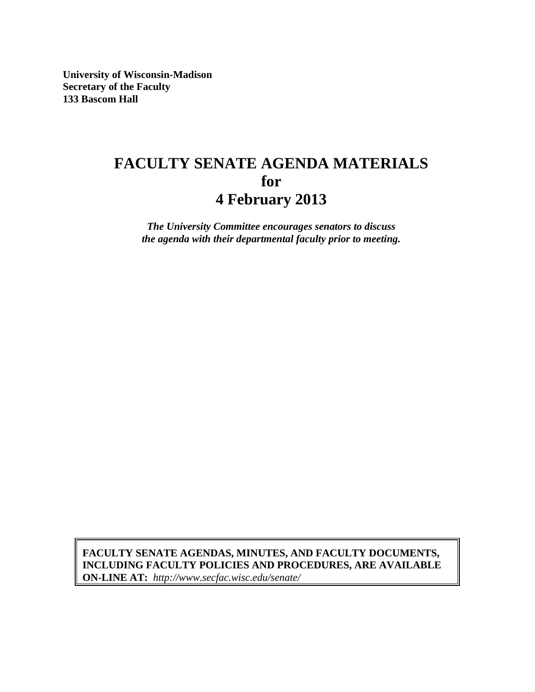**University of Wisconsin-Madison Secretary of the Faculty 133 Bascom Hall** 

# **FACULTY SENATE AGENDA MATERIALS for 4 February 2013**

*The University Committee encourages senators to discuss the agenda with their departmental faculty prior to meeting.* 

 **ON-LINE AT:** *http://www.secfac.wisc.edu/senate/* **FACULTY SENATE AGENDAS, MINUTES, AND FACULTY DOCUMENTS, INCLUDING FACULTY POLICIES AND PROCEDURES, ARE AVAILABLE**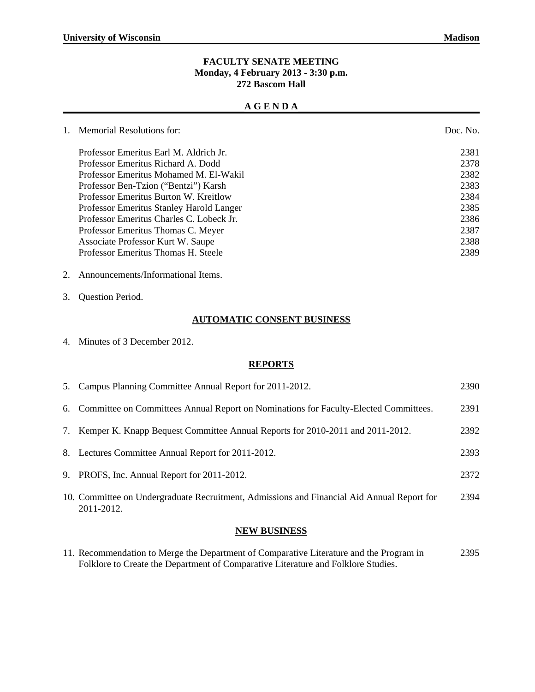#### **FACULTY SENATE MEETING Monday, 4 February 2013 - 3:30 p.m. 272 Bascom Hall**

#### **A G E N D A**

| $1_{-}$ | <b>Memorial Resolutions for:</b>         | Doc. No. |
|---------|------------------------------------------|----------|
|         | Professor Emeritus Earl M. Aldrich Jr.   | 2381     |
|         | Professor Emeritus Richard A. Dodd       | 2378     |
|         | Professor Emeritus Mohamed M. El-Wakil   | 2382     |
|         | Professor Ben-Tzion ("Bentzi") Karsh     | 2383     |
|         | Professor Emeritus Burton W. Kreitlow    | 2384     |
|         | Professor Emeritus Stanley Harold Langer | 2385     |
|         | Professor Emeritus Charles C. Lobeck Jr. | 2386     |
|         | Professor Emeritus Thomas C. Meyer       | 2387     |
|         | Associate Professor Kurt W. Saupe        | 2388     |
|         | Professor Emeritus Thomas H. Steele      | 2389     |

- 2. Announcements/Informational Items.
- 3. Question Period.

#### **AUTOMATIC CONSENT BUSINESS**

4. Minutes of 3 December 2012.

#### **REPORTS**

|    | 5. Campus Planning Committee Annual Report for 2011-2012.                                                | 2390 |
|----|----------------------------------------------------------------------------------------------------------|------|
|    | 6. Committee on Committees Annual Report on Nominations for Faculty-Elected Committees.                  | 2391 |
| 7. | Kemper K. Knapp Bequest Committee Annual Reports for 2010-2011 and 2011-2012.                            | 2392 |
|    | 8. Lectures Committee Annual Report for 2011-2012.                                                       | 2393 |
|    | 9. PROFS, Inc. Annual Report for 2011-2012.                                                              | 2372 |
|    | 10. Committee on Undergraduate Recruitment, Admissions and Financial Aid Annual Report for<br>2011-2012. | 2394 |

#### **NEW BUSINESS**

11. Recommendation to Merge the Department of Comparative Literature and the Program in 2395 Folklore to Create the Department of Comparative Literature and Folklore Studies.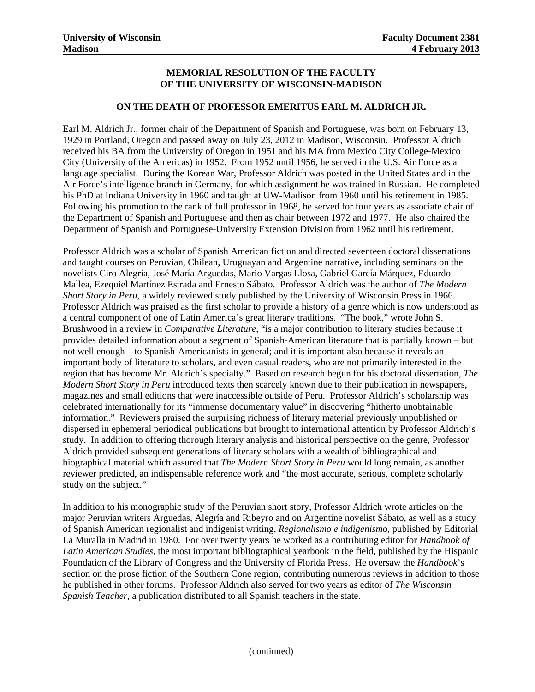#### **MEMORIAL RESOLUTION OF THE FACULTY OF THE UNIVERSITY OF WISCONSIN-MADISON**

#### **ON THE DEATH OF PROFESSOR EMERITUS EARL M. ALDRICH JR.**

Earl M. Aldrich Jr., former chair of the Department of Spanish and Portuguese, was born on February 13, 1929 in Portland, Oregon and passed away on July 23, 2012 in Madison, Wisconsin. Professor Aldrich received his BA from the University of Oregon in 1951 and his MA from Mexico City College-Mexico City (University of the Americas) in 1952. From 1952 until 1956, he served in the U.S. Air Force as a language specialist. During the Korean War, Professor Aldrich was posted in the United States and in the Air Force's intelligence branch in Germany, for which assignment he was trained in Russian. He completed his PhD at Indiana University in 1960 and taught at UW-Madison from 1960 until his retirement in 1985. Following his promotion to the rank of full professor in 1968, he served for four years as associate chair of the Department of Spanish and Portuguese and then as chair between 1972 and 1977. He also chaired the Department of Spanish and Portuguese-University Extension Division from 1962 until his retirement.

Professor Aldrich was a scholar of Spanish American fiction and directed seventeen doctoral dissertations and taught courses on Peruvian, Chilean, Uruguayan and Argentine narrative, including seminars on the novelists Ciro Alegría, José María Arguedas, Mario Vargas Llosa, Gabriel García Márquez, Eduardo Mallea, Ezequiel Martínez Estrada and Ernesto Sábato. Professor Aldrich was the author of *The Modern Short Story in Peru*, a widely reviewed study published by the University of Wisconsin Press in 1966. Professor Aldrich was praised as the first scholar to provide a history of a genre which is now understood as a central component of one of Latin America's great literary traditions. "The book," wrote John S. Brushwood in a review in *Comparative Literature*, "is a major contribution to literary studies because it provides detailed information about a segment of Spanish-American literature that is partially known – but not well enough – to Spanish-Americanists in general; and it is important also because it reveals an important body of literature to scholars, and even casual readers, who are not primarily interested in the region that has become Mr. Aldrich's specialty." Based on research begun for his doctoral dissertation, *The Modern Short Story in Peru* introduced texts then scarcely known due to their publication in newspapers, magazines and small editions that were inaccessible outside of Peru. Professor Aldrich's scholarship was celebrated internationally for its "immense documentary value" in discovering "hitherto unobtainable information." Reviewers praised the surprising richness of literary material previously unpublished or dispersed in ephemeral periodical publications but brought to international attention by Professor Aldrich's study. In addition to offering thorough literary analysis and historical perspective on the genre, Professor Aldrich provided subsequent generations of literary scholars with a wealth of bibliographical and biographical material which assured that *The Modern Short Story in Peru* would long remain, as another reviewer predicted, an indispensable reference work and "the most accurate, serious, complete scholarly study on the subject."

In addition to his monographic study of the Peruvian short story, Professor Aldrich wrote articles on the major Peruvian writers Arguedas, Alegría and Ribeyro and on Argentine novelist Sábato, as well as a study of Spanish American regionalist and indigenist writing, *Regionalismo e indigenismo*, published by Editorial La Muralla in Madrid in 1980. For over twenty years he worked as a contributing editor for *Handbook of Latin American Studies*, the most important bibliographical yearbook in the field, published by the Hispanic Foundation of the Library of Congress and the University of Florida Press. He oversaw the *Handbook*'s section on the prose fiction of the Southern Cone region, contributing numerous reviews in addition to those he published in other forums. Professor Aldrich also served for two years as editor of *The Wisconsin Spanish Teacher*, a publication distributed to all Spanish teachers in the state.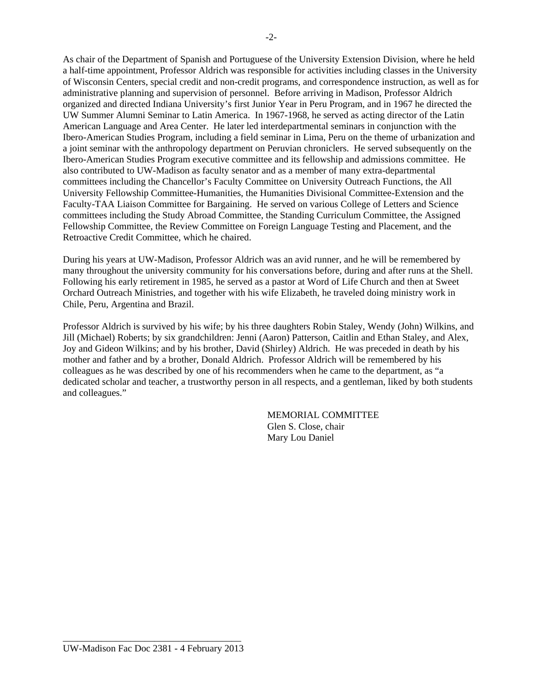As chair of the Department of Spanish and Portuguese of the University Extension Division, where he held a half-time appointment, Professor Aldrich was responsible for activities including classes in the University of Wisconsin Centers, special credit and non-credit programs, and correspondence instruction, as well as for administrative planning and supervision of personnel. Before arriving in Madison, Professor Aldrich organized and directed Indiana University's first Junior Year in Peru Program, and in 1967 he directed the UW Summer Alumni Seminar to Latin America. In 1967-1968, he served as acting director of the Latin American Language and Area Center. He later led interdepartmental seminars in conjunction with the Ibero-American Studies Program, including a field seminar in Lima, Peru on the theme of urbanization and a joint seminar with the anthropology department on Peruvian chroniclers. He served subsequently on the Ibero-American Studies Program executive committee and its fellowship and admissions committee. He also contributed to UW-Madison as faculty senator and as a member of many extra-departmental committees including the Chancellor's Faculty Committee on University Outreach Functions, the All University Fellowship Committee-Humanities, the Humanities Divisional Committee-Extension and the Faculty-TAA Liaison Committee for Bargaining. He served on various College of Letters and Science committees including the Study Abroad Committee, the Standing Curriculum Committee, the Assigned Fellowship Committee, the Review Committee on Foreign Language Testing and Placement, and the Retroactive Credit Committee, which he chaired.

During his years at UW-Madison, Professor Aldrich was an avid runner, and he will be remembered by many throughout the university community for his conversations before, during and after runs at the Shell. Following his early retirement in 1985, he served as a pastor at Word of Life Church and then at Sweet Orchard Outreach Ministries, and together with his wife Elizabeth, he traveled doing ministry work in Chile, Peru, Argentina and Brazil.

Professor Aldrich is survived by his wife; by his three daughters Robin Staley, Wendy (John) Wilkins, and Jill (Michael) Roberts; by six grandchildren: Jenni (Aaron) Patterson, Caitlin and Ethan Staley, and Alex, Joy and Gideon Wilkins; and by his brother, David (Shirley) Aldrich. He was preceded in death by his mother and father and by a brother, Donald Aldrich. Professor Aldrich will be remembered by his colleagues as he was described by one of his recommenders when he came to the department, as "a dedicated scholar and teacher, a trustworthy person in all respects, and a gentleman, liked by both students and colleagues."

> MEMORIAL COMMITTEE Glen S. Close, chair Mary Lou Daniel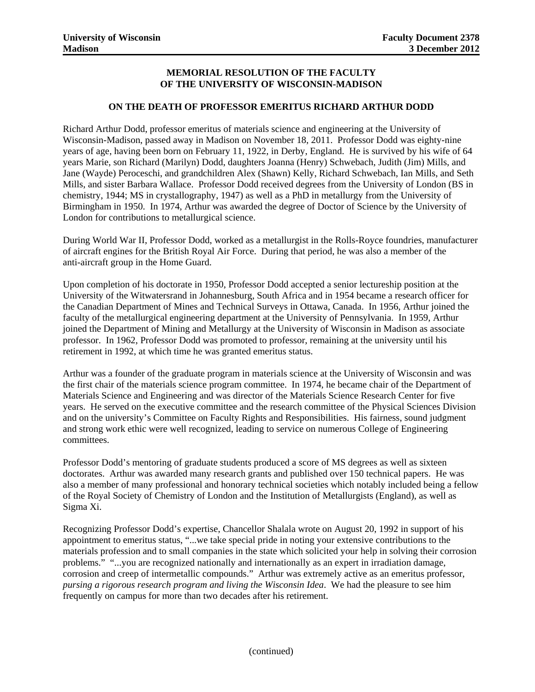#### **MEMORIAL RESOLUTION OF THE FACULTY OF THE UNIVERSITY OF WISCONSIN-MADISON**

#### **ON THE DEATH OF PROFESSOR EMERITUS RICHARD ARTHUR DODD**

Richard Arthur Dodd, professor emeritus of materials science and engineering at the University of Wisconsin-Madison, passed away in Madison on November 18, 2011. Professor Dodd was eighty-nine years of age, having been born on February 11, 1922, in Derby, England. He is survived by his wife of 64 years Marie, son Richard (Marilyn) Dodd, daughters Joanna (Henry) Schwebach, Judith (Jim) Mills, and Jane (Wayde) Peroceschi, and grandchildren Alex (Shawn) Kelly, Richard Schwebach, Ian Mills, and Seth Mills, and sister Barbara Wallace. Professor Dodd received degrees from the University of London (BS in chemistry, 1944; MS in crystallography, 1947) as well as a PhD in metallurgy from the University of Birmingham in 1950. In 1974, Arthur was awarded the degree of Doctor of Science by the University of London for contributions to metallurgical science.

During World War II, Professor Dodd, worked as a metallurgist in the Rolls-Royce foundries, manufacturer of aircraft engines for the British Royal Air Force. During that period, he was also a member of the anti-aircraft group in the Home Guard.

Upon completion of his doctorate in 1950, Professor Dodd accepted a senior lectureship position at the University of the Witwatersrand in Johannesburg, South Africa and in 1954 became a research officer for the Canadian Department of Mines and Technical Surveys in Ottawa, Canada. In 1956, Arthur joined the faculty of the metallurgical engineering department at the University of Pennsylvania. In 1959, Arthur joined the Department of Mining and Metallurgy at the University of Wisconsin in Madison as associate professor. In 1962, Professor Dodd was promoted to professor, remaining at the university until his retirement in 1992, at which time he was granted emeritus status.

Arthur was a founder of the graduate program in materials science at the University of Wisconsin and was the first chair of the materials science program committee. In 1974, he became chair of the Department of Materials Science and Engineering and was director of the Materials Science Research Center for five years. He served on the executive committee and the research committee of the Physical Sciences Division and on the university's Committee on Faculty Rights and Responsibilities. His fairness, sound judgment and strong work ethic were well recognized, leading to service on numerous College of Engineering committees.

Professor Dodd's mentoring of graduate students produced a score of MS degrees as well as sixteen doctorates. Arthur was awarded many research grants and published over 150 technical papers. He was also a member of many professional and honorary technical societies which notably included being a fellow of the Royal Society of Chemistry of London and the Institution of Metallurgists (England), as well as Sigma Xi.

Recognizing Professor Dodd's expertise, Chancellor Shalala wrote on August 20, 1992 in support of his appointment to emeritus status, "...we take special pride in noting your extensive contributions to the materials profession and to small companies in the state which solicited your help in solving their corrosion problems." "...you are recognized nationally and internationally as an expert in irradiation damage, corrosion and creep of intermetallic compounds." Arthur was extremely active as an emeritus professor, *pursing a rigorous research program and living the Wisconsin Idea*. We had the pleasure to see him frequently on campus for more than two decades after his retirement.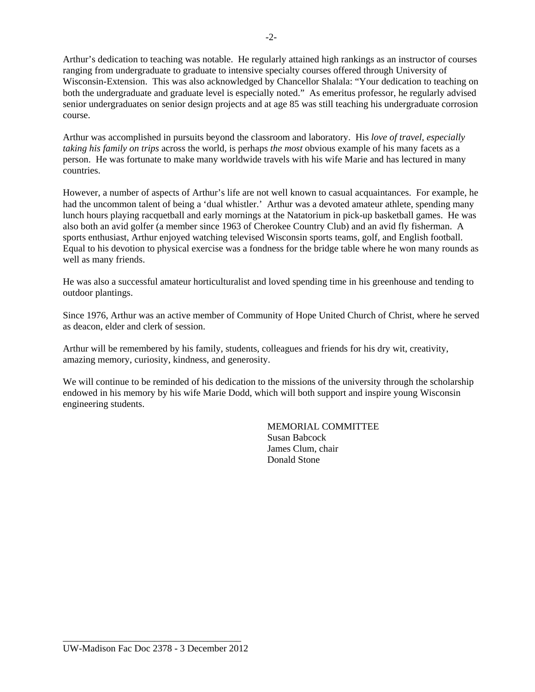Arthur's dedication to teaching was notable. He regularly attained high rankings as an instructor of courses ranging from undergraduate to graduate to intensive specialty courses offered through University of Wisconsin-Extension. This was also acknowledged by Chancellor Shalala: "Your dedication to teaching on both the undergraduate and graduate level is especially noted." As emeritus professor, he regularly advised senior undergraduates on senior design projects and at age 85 was still teaching his undergraduate corrosion course.

Arthur was accomplished in pursuits beyond the classroom and laboratory. His *love of travel, especially taking his family on trips* across the world, is perhaps *the most* obvious example of his many facets as a person. He was fortunate to make many worldwide travels with his wife Marie and has lectured in many countries.

However, a number of aspects of Arthur's life are not well known to casual acquaintances. For example, he had the uncommon talent of being a 'dual whistler.' Arthur was a devoted amateur athlete, spending many lunch hours playing racquetball and early mornings at the Natatorium in pick-up basketball games. He was also both an avid golfer (a member since 1963 of Cherokee Country Club) and an avid fly fisherman. A sports enthusiast, Arthur enjoyed watching televised Wisconsin sports teams, golf, and English football. Equal to his devotion to physical exercise was a fondness for the bridge table where he won many rounds as well as many friends.

He was also a successful amateur horticulturalist and loved spending time in his greenhouse and tending to outdoor plantings.

Since 1976, Arthur was an active member of Community of Hope United Church of Christ, where he served as deacon, elder and clerk of session.

Arthur will be remembered by his family, students, colleagues and friends for his dry wit, creativity, amazing memory, curiosity, kindness, and generosity.

We will continue to be reminded of his dedication to the missions of the university through the scholarship endowed in his memory by his wife Marie Dodd, which will both support and inspire young Wisconsin engineering students.

> MEMORIAL COMMITTEE Susan Babcock James Clum, chair Donald Stone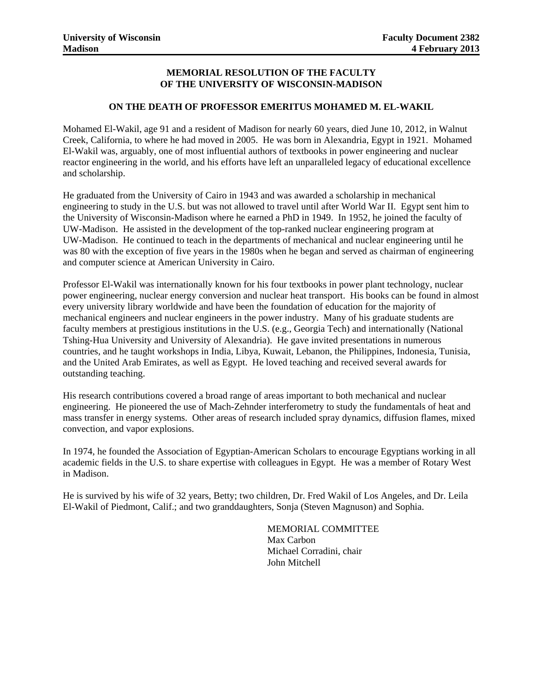#### **MEMORIAL RESOLUTION OF THE FACULTY OF THE UNIVERSITY OF WISCONSIN-MADISON**

#### **ON THE DEATH OF PROFESSOR EMERITUS MOHAMED M. EL-WAKIL**

Mohamed El-Wakil, age 91 and a resident of Madison for nearly 60 years, died June 10, 2012, in Walnut Creek, California, to where he had moved in 2005. He was born in Alexandria, Egypt in 1921. Mohamed El-Wakil was, arguably, one of most influential authors of textbooks in power engineering and nuclear reactor engineering in the world, and his efforts have left an unparalleled legacy of educational excellence and scholarship.

He graduated from the University of Cairo in 1943 and was awarded a scholarship in mechanical engineering to study in the U.S. but was not allowed to travel until after World War II. Egypt sent him to the University of Wisconsin-Madison where he earned a PhD in 1949. In 1952, he joined the faculty of UW-Madison. He assisted in the development of the top-ranked nuclear engineering program at UW-Madison. He continued to teach in the departments of mechanical and nuclear engineering until he was 80 with the exception of five years in the 1980s when he began and served as chairman of engineering and computer science at American University in Cairo.

Professor El-Wakil was internationally known for his four textbooks in power plant technology, nuclear power engineering, nuclear energy conversion and nuclear heat transport. His books can be found in almost every university library worldwide and have been the foundation of education for the majority of mechanical engineers and nuclear engineers in the power industry. Many of his graduate students are faculty members at prestigious institutions in the U.S. (e.g., Georgia Tech) and internationally (National Tshing-Hua University and University of Alexandria). He gave invited presentations in numerous countries, and he taught workshops in India, Libya, Kuwait, Lebanon, the Philippines, Indonesia, Tunisia, and the United Arab Emirates, as well as Egypt. He loved teaching and received several awards for outstanding teaching.

His research contributions covered a broad range of areas important to both mechanical and nuclear engineering. He pioneered the use of Mach-Zehnder interferometry to study the fundamentals of heat and mass transfer in energy systems. Other areas of research included spray dynamics, diffusion flames, mixed convection, and vapor explosions.

In 1974, he founded the Association of Egyptian-American Scholars to encourage Egyptians working in all academic fields in the U.S. to share expertise with colleagues in Egypt. He was a member of Rotary West in Madison.

He is survived by his wife of 32 years, Betty; two children, Dr. Fred Wakil of Los Angeles, and Dr. Leila El-Wakil of Piedmont, Calif.; and two granddaughters, Sonja (Steven Magnuson) and Sophia.

> MEMORIAL COMMITTEE Max Carbon Michael Corradini, chair John Mitchell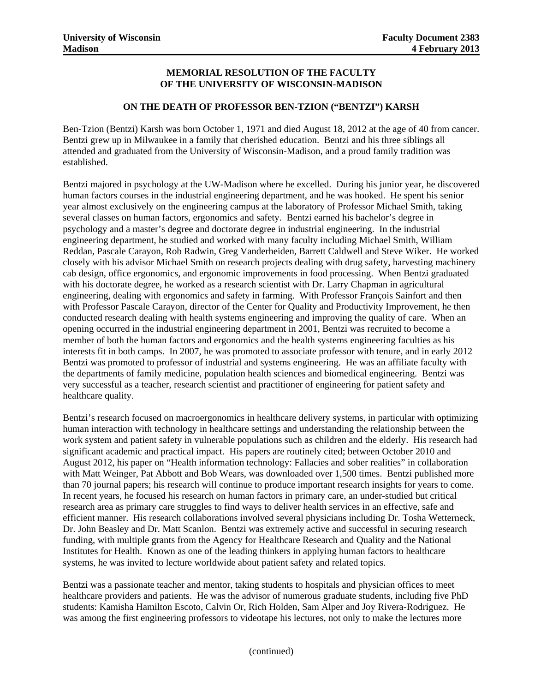#### **MEMORIAL RESOLUTION OF THE FACULTY OF THE UNIVERSITY OF WISCONSIN-MADISON**

#### **ON THE DEATH OF PROFESSOR BEN-TZION ("BENTZI") KARSH**

Ben-Tzion (Bentzi) Karsh was born October 1, 1971 and died August 18, 2012 at the age of 40 from cancer. Bentzi grew up in Milwaukee in a family that cherished education. Bentzi and his three siblings all attended and graduated from the University of Wisconsin-Madison, and a proud family tradition was established.

Bentzi majored in psychology at the UW-Madison where he excelled. During his junior year, he discovered human factors courses in the industrial engineering department, and he was hooked. He spent his senior year almost exclusively on the engineering campus at the laboratory of Professor Michael Smith, taking several classes on human factors, ergonomics and safety. Bentzi earned his bachelor's degree in psychology and a master's degree and doctorate degree in industrial engineering. In the industrial engineering department, he studied and worked with many faculty including Michael Smith, William Reddan, Pascale Carayon, Rob Radwin, Greg Vanderheiden, Barrett Caldwell and Steve Wiker. He worked closely with his advisor Michael Smith on research projects dealing with drug safety, harvesting machinery cab design, office ergonomics, and ergonomic improvements in food processing. When Bentzi graduated with his doctorate degree, he worked as a research scientist with Dr. Larry Chapman in agricultural engineering, dealing with ergonomics and safety in farming. With Professor François Sainfort and then with Professor Pascale Carayon, director of the Center for Quality and Productivity Improvement, he then conducted research dealing with health systems engineering and improving the quality of care. When an opening occurred in the industrial engineering department in 2001, Bentzi was recruited to become a member of both the human factors and ergonomics and the health systems engineering faculties as his interests fit in both camps. In 2007, he was promoted to associate professor with tenure, and in early 2012 Bentzi was promoted to professor of industrial and systems engineering. He was an affiliate faculty with the departments of family medicine, population health sciences and biomedical engineering. Bentzi was very successful as a teacher, research scientist and practitioner of engineering for patient safety and healthcare quality.

Bentzi's research focused on macroergonomics in healthcare delivery systems, in particular with optimizing human interaction with technology in healthcare settings and understanding the relationship between the work system and patient safety in vulnerable populations such as children and the elderly. His research had significant academic and practical impact. His papers are routinely cited; between October 2010 and August 2012, his paper on "Health information technology: Fallacies and sober realities" in collaboration with Matt Weinger, Pat Abbott and Bob Wears, was downloaded over 1,500 times. Bentzi published more than 70 journal papers; his research will continue to produce important research insights for years to come. In recent years, he focused his research on human factors in primary care, an under-studied but critical research area as primary care struggles to find ways to deliver health services in an effective, safe and efficient manner. His research collaborations involved several physicians including Dr. Tosha Wetterneck, Dr. John Beasley and Dr. Matt Scanlon. Bentzi was extremely active and successful in securing research funding, with multiple grants from the Agency for Healthcare Research and Quality and the National Institutes for Health. Known as one of the leading thinkers in applying human factors to healthcare systems, he was invited to lecture worldwide about patient safety and related topics.

Bentzi was a passionate teacher and mentor, taking students to hospitals and physician offices to meet healthcare providers and patients. He was the advisor of numerous graduate students, including five PhD students: Kamisha Hamilton Escoto, Calvin Or, Rich Holden, Sam Alper and Joy Rivera-Rodriguez. He was among the first engineering professors to videotape his lectures, not only to make the lectures more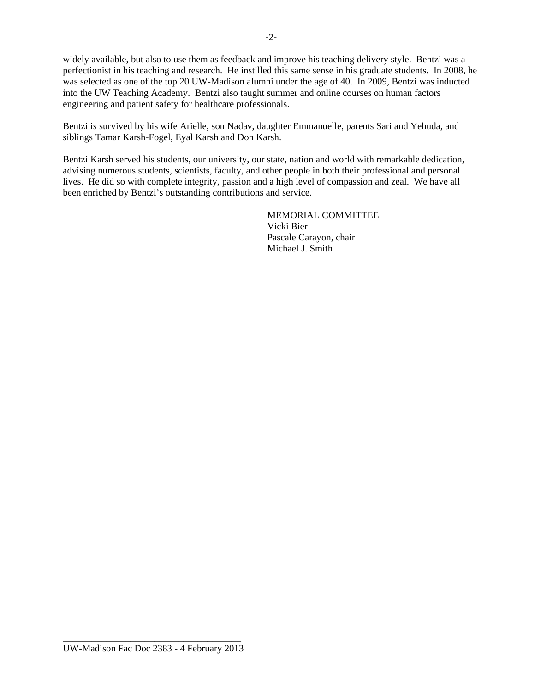widely available, but also to use them as feedback and improve his teaching delivery style. Bentzi was a perfectionist in his teaching and research. He instilled this same sense in his graduate students. In 2008, he was selected as one of the top 20 UW-Madison alumni under the age of 40. In 2009, Bentzi was inducted into the UW Teaching Academy. Bentzi also taught summer and online courses on human factors engineering and patient safety for healthcare professionals.

Bentzi is survived by his wife Arielle, son Nadav, daughter Emmanuelle, parents Sari and Yehuda, and siblings Tamar Karsh-Fogel, Eyal Karsh and Don Karsh.

Bentzi Karsh served his students, our university, our state, nation and world with remarkable dedication, advising numerous students, scientists, faculty, and other people in both their professional and personal lives. He did so with complete integrity, passion and a high level of compassion and zeal. We have all been enriched by Bentzi's outstanding contributions and service.

> MEMORIAL COMMITTEE Vicki Bier Pascale Carayon, chair Michael J. Smith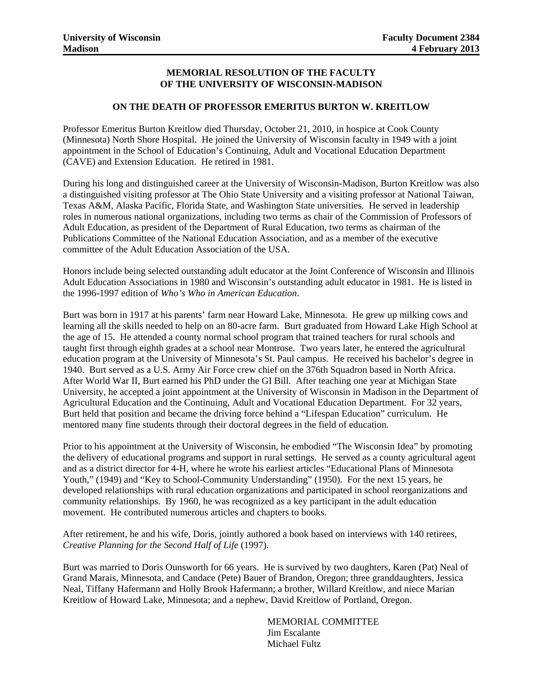#### **MEMORIAL RESOLUTION OF THE FACULTY OF THE UNIVERSITY OF WISCONSIN-MADISON**

#### **ON THE DEATH OF PROFESSOR EMERITUS BURTON W. KREITLOW**

Professor Emeritus Burton Kreitlow died Thursday, October 21, 2010, in hospice at Cook County (Minnesota) North Shore Hospital. He joined the University of Wisconsin faculty in 1949 with a joint appointment in the School of Education's Continuing, Adult and Vocational Education Department (CAVE) and Extension Education. He retired in 1981.

During his long and distinguished career at the University of Wisconsin-Madison, Burton Kreitlow was also a distinguished visiting professor at The Ohio State University and a visiting professor at National Taiwan, Texas A&M, Alaska Pacific, Florida State, and Washington State universities. He served in leadership roles in numerous national organizations, including two terms as chair of the Commission of Professors of Adult Education, as president of the Department of Rural Education, two terms as chairman of the Publications Committee of the National Education Association, and as a member of the executive committee of the Adult Education Association of the USA.

Honors include being selected outstanding adult educator at the Joint Conference of Wisconsin and Illinois Adult Education Associations in 1980 and Wisconsin's outstanding adult educator in 1981. He is listed in the 1996-1997 edition of *Who's Who in American Education*.

Burt was born in 1917 at his parents' farm near Howard Lake, Minnesota. He grew up milking cows and learning all the skills needed to help on an 80-acre farm. Burt graduated from Howard Lake High School at the age of 15. He attended a county normal school program that trained teachers for rural schools and taught first through eighth grades at a school near Montrose. Two years later, he entered the agricultural education program at the University of Minnesota's St. Paul campus. He received his bachelor's degree in 1940. Burt served as a U.S. Army Air Force crew chief on the 376th Squadron based in North Africa. After World War II, Burt earned his PhD under the GI Bill. After teaching one year at Michigan State University, he accepted a joint appointment at the University of Wisconsin in Madison in the Department of Agricultural Education and the Continuing, Adult and Vocational Education Department. For 32 years, Burt held that position and became the driving force behind a "Lifespan Education" curriculum. He mentored many fine students through their doctoral degrees in the field of education.

Prior to his appointment at the University of Wisconsin, he embodied "The Wisconsin Idea" by promoting the delivery of educational programs and support in rural settings. He served as a county agricultural agent and as a district director for 4-H, where he wrote his earliest articles "Educational Plans of Minnesota Youth," (1949) and "Key to School-Community Understanding" (1950). For the next 15 years, he developed relationships with rural education organizations and participated in school reorganizations and community relationships. By 1960, he was recognized as a key participant in the adult education movement. He contributed numerous articles and chapters to books.

After retirement, he and his wife, Doris, jointly authored a book based on interviews with 140 retirees, *Creative Planning for the Second Half of Life* (1997).

Burt was married to Doris Ounsworth for 66 years. He is survived by two daughters, Karen (Pat) Neal of Grand Marais, Minnesota, and Candace (Pete) Bauer of Brandon, Oregon; three granddaughters, Jessica Neal, Tiffany Hafermann and Holly Brook Hafermann; a brother, Willard Kreitlow, and niece Marian Kreitlow of Howard Lake, Minnesota; and a nephew, David Kreitlow of Portland, Oregon.

> MEMORIAL COMMITTEE Jim Escalante Michael Fultz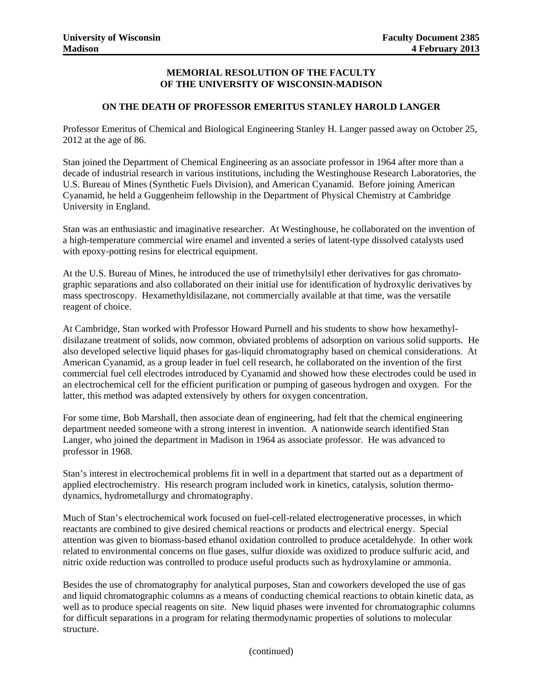#### **MEMORIAL RESOLUTION OF THE FACULTY OF THE UNIVERSITY OF WISCONSIN-MADISON**

#### **ON THE DEATH OF PROFESSOR EMERITUS STANLEY HAROLD LANGER**

Professor Emeritus of Chemical and Biological Engineering Stanley H. Langer passed away on October 25, 2012 at the age of 86.

Stan joined the Department of Chemical Engineering as an associate professor in 1964 after more than a decade of industrial research in various institutions, including the Westinghouse Research Laboratories, the U.S. Bureau of Mines (Synthetic Fuels Division), and American Cyanamid. Before joining American Cyanamid, he held a Guggenheim fellowship in the Department of Physical Chemistry at Cambridge University in England.

Stan was an enthusiastic and imaginative researcher. At Westinghouse, he collaborated on the invention of a high-temperature commercial wire enamel and invented a series of latent-type dissolved catalysts used with epoxy-potting resins for electrical equipment.

At the U.S. Bureau of Mines, he introduced the use of trimethylsilyl ether derivatives for gas chromatographic separations and also collaborated on their initial use for identification of hydroxylic derivatives by mass spectroscopy. Hexamethyldisilazane, not commercially available at that time, was the versatile reagent of choice.

At Cambridge, Stan worked with Professor Howard Purnell and his students to show how hexamethyldisilazane treatment of solids, now common, obviated problems of adsorption on various solid supports. He also developed selective liquid phases for gas-liquid chromatography based on chemical considerations. At American Cyanamid, as a group leader in fuel cell research, he collaborated on the invention of the first commercial fuel cell electrodes introduced by Cyanamid and showed how these electrodes could be used in an electrochemical cell for the efficient purification or pumping of gaseous hydrogen and oxygen. For the latter, this method was adapted extensively by others for oxygen concentration.

For some time, Bob Marshall, then associate dean of engineering, had felt that the chemical engineering department needed someone with a strong interest in invention. A nationwide search identified Stan Langer, who joined the department in Madison in 1964 as associate professor. He was advanced to professor in 1968.

Stan's interest in electrochemical problems fit in well in a department that started out as a department of applied electrochemistry. His research program included work in kinetics, catalysis, solution thermodynamics, hydrometallurgy and chromatography.

Much of Stan's electrochemical work focused on fuel-cell-related electrogenerative processes, in which reactants are combined to give desired chemical reactions or products and electrical energy. Special attention was given to biomass-based ethanol oxidation controlled to produce acetaldehyde. In other work related to environmental concerns on flue gases, sulfur dioxide was oxidized to produce sulfuric acid, and nitric oxide reduction was controlled to produce useful products such as hydroxylamine or ammonia.

Besides the use of chromatography for analytical purposes, Stan and coworkers developed the use of gas and liquid chromatographic columns as a means of conducting chemical reactions to obtain kinetic data, as well as to produce special reagents on site. New liquid phases were invented for chromatographic columns for difficult separations in a program for relating thermodynamic properties of solutions to molecular structure.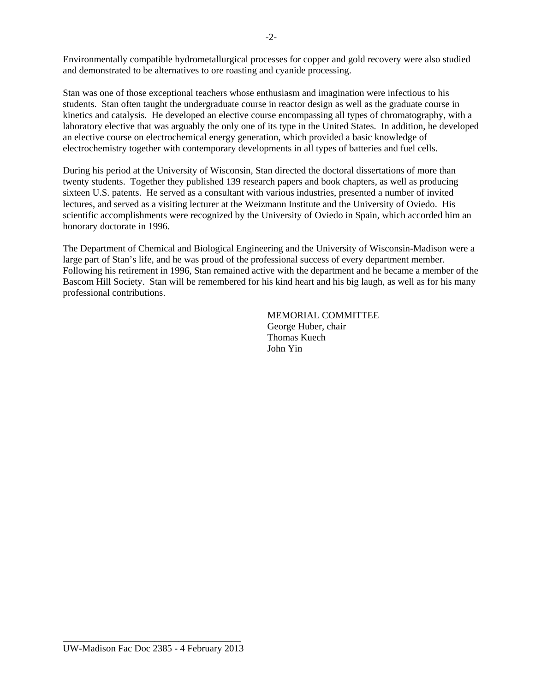Environmentally compatible hydrometallurgical processes for copper and gold recovery were also studied and demonstrated to be alternatives to ore roasting and cyanide processing.

Stan was one of those exceptional teachers whose enthusiasm and imagination were infectious to his students. Stan often taught the undergraduate course in reactor design as well as the graduate course in kinetics and catalysis. He developed an elective course encompassing all types of chromatography, with a laboratory elective that was arguably the only one of its type in the United States. In addition, he developed an elective course on electrochemical energy generation, which provided a basic knowledge of electrochemistry together with contemporary developments in all types of batteries and fuel cells.

During his period at the University of Wisconsin, Stan directed the doctoral dissertations of more than twenty students. Together they published 139 research papers and book chapters, as well as producing sixteen U.S. patents. He served as a consultant with various industries, presented a number of invited lectures, and served as a visiting lecturer at the Weizmann Institute and the University of Oviedo. His scientific accomplishments were recognized by the University of Oviedo in Spain, which accorded him an honorary doctorate in 1996.

The Department of Chemical and Biological Engineering and the University of Wisconsin-Madison were a large part of Stan's life, and he was proud of the professional success of every department member. Following his retirement in 1996, Stan remained active with the department and he became a member of the Bascom Hill Society. Stan will be remembered for his kind heart and his big laugh, as well as for his many professional contributions.

> MEMORIAL COMMITTEE George Huber, chair Thomas Kuech John Yin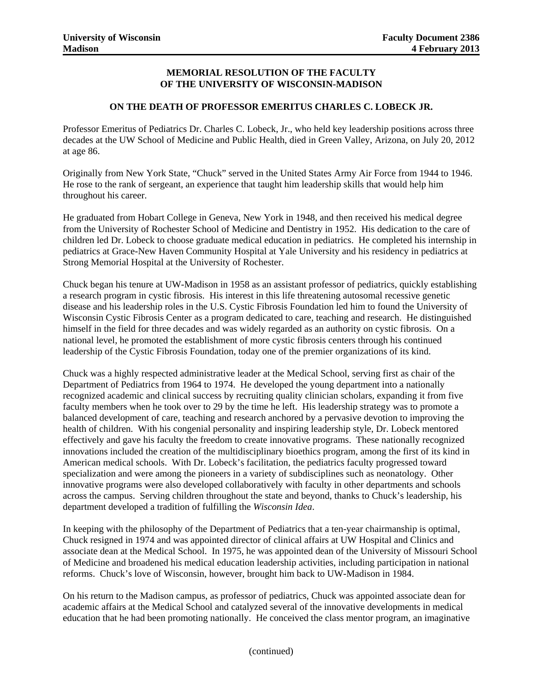#### **MEMORIAL RESOLUTION OF THE FACULTY OF THE UNIVERSITY OF WISCONSIN-MADISON**

#### **ON THE DEATH OF PROFESSOR EMERITUS CHARLES C. LOBECK JR.**

Professor Emeritus of Pediatrics Dr. Charles C. Lobeck, Jr., who held key leadership positions across three decades at the UW School of Medicine and Public Health, died in Green Valley, Arizona, on July 20, 2012 at age 86.

Originally from New York State, "Chuck" served in the United States Army Air Force from 1944 to 1946. He rose to the rank of sergeant, an experience that taught him leadership skills that would help him throughout his career.

He graduated from Hobart College in Geneva, New York in 1948, and then received his medical degree from the University of Rochester School of Medicine and Dentistry in 1952. His dedication to the care of children led Dr. Lobeck to choose graduate medical education in pediatrics. He completed his internship in pediatrics at Grace-New Haven Community Hospital at Yale University and his residency in pediatrics at Strong Memorial Hospital at the University of Rochester.

Chuck began his tenure at UW-Madison in 1958 as an assistant professor of pediatrics, quickly establishing a research program in cystic fibrosis. His interest in this life threatening autosomal recessive genetic disease and his leadership roles in the U.S. Cystic Fibrosis Foundation led him to found the University of Wisconsin Cystic Fibrosis Center as a program dedicated to care, teaching and research. He distinguished himself in the field for three decades and was widely regarded as an authority on cystic fibrosis. On a national level, he promoted the establishment of more cystic fibrosis centers through his continued leadership of the Cystic Fibrosis Foundation, today one of the premier organizations of its kind.

Chuck was a highly respected administrative leader at the Medical School, serving first as chair of the Department of Pediatrics from 1964 to 1974. He developed the young department into a nationally recognized academic and clinical success by recruiting quality clinician scholars, expanding it from five faculty members when he took over to 29 by the time he left. His leadership strategy was to promote a balanced development of care, teaching and research anchored by a pervasive devotion to improving the health of children. With his congenial personality and inspiring leadership style, Dr. Lobeck mentored effectively and gave his faculty the freedom to create innovative programs. These nationally recognized innovations included the creation of the multidisciplinary bioethics program, among the first of its kind in American medical schools. With Dr. Lobeck's facilitation, the pediatrics faculty progressed toward specialization and were among the pioneers in a variety of subdisciplines such as neonatology. Other innovative programs were also developed collaboratively with faculty in other departments and schools across the campus. Serving children throughout the state and beyond, thanks to Chuck's leadership, his department developed a tradition of fulfilling the *Wisconsin Idea*.

In keeping with the philosophy of the Department of Pediatrics that a ten-year chairmanship is optimal, Chuck resigned in 1974 and was appointed director of clinical affairs at UW Hospital and Clinics and associate dean at the Medical School. In 1975, he was appointed dean of the University of Missouri School of Medicine and broadened his medical education leadership activities, including participation in national reforms. Chuck's love of Wisconsin, however, brought him back to UW-Madison in 1984.

On his return to the Madison campus, as professor of pediatrics, Chuck was appointed associate dean for academic affairs at the Medical School and catalyzed several of the innovative developments in medical education that he had been promoting nationally. He conceived the class mentor program, an imaginative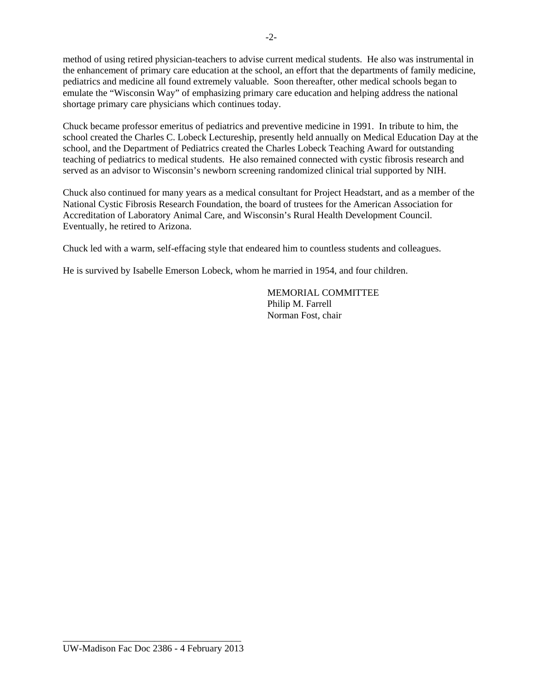method of using retired physician-teachers to advise current medical students. He also was instrumental in the enhancement of primary care education at the school, an effort that the departments of family medicine, pediatrics and medicine all found extremely valuable. Soon thereafter, other medical schools began to emulate the "Wisconsin Way" of emphasizing primary care education and helping address the national shortage primary care physicians which continues today.

Chuck became professor emeritus of pediatrics and preventive medicine in 1991. In tribute to him, the school created the Charles C. Lobeck Lectureship, presently held annually on Medical Education Day at the school, and the Department of Pediatrics created the Charles Lobeck Teaching Award for outstanding teaching of pediatrics to medical students. He also remained connected with cystic fibrosis research and served as an advisor to Wisconsin's newborn screening randomized clinical trial supported by NIH.

Chuck also continued for many years as a medical consultant for Project Headstart, and as a member of the National Cystic Fibrosis Research Foundation, the board of trustees for the American Association for Accreditation of Laboratory Animal Care, and Wisconsin's Rural Health Development Council. Eventually, he retired to Arizona.

Chuck led with a warm, self-effacing style that endeared him to countless students and colleagues.

He is survived by Isabelle Emerson Lobeck, whom he married in 1954, and four children.

MEMORIAL COMMITTEE Philip M. Farrell Norman Fost, chair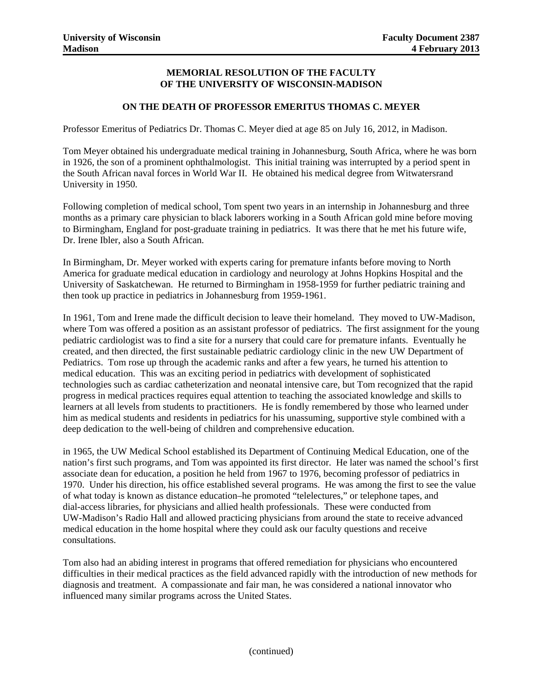#### **MEMORIAL RESOLUTION OF THE FACULTY OF THE UNIVERSITY OF WISCONSIN-MADISON**

#### **ON THE DEATH OF PROFESSOR EMERITUS THOMAS C. MEYER**

Professor Emeritus of Pediatrics Dr. Thomas C. Meyer died at age 85 on July 16, 2012, in Madison.

Tom Meyer obtained his undergraduate medical training in Johannesburg, South Africa, where he was born in 1926, the son of a prominent ophthalmologist. This initial training was interrupted by a period spent in the South African naval forces in World War II. He obtained his medical degree from Witwatersrand University in 1950.

Following completion of medical school, Tom spent two years in an internship in Johannesburg and three months as a primary care physician to black laborers working in a South African gold mine before moving to Birmingham, England for post-graduate training in pediatrics. It was there that he met his future wife, Dr. Irene Ibler, also a South African.

In Birmingham, Dr. Meyer worked with experts caring for premature infants before moving to North America for graduate medical education in cardiology and neurology at Johns Hopkins Hospital and the University of Saskatchewan. He returned to Birmingham in 1958-1959 for further pediatric training and then took up practice in pediatrics in Johannesburg from 1959-1961.

In 1961, Tom and Irene made the difficult decision to leave their homeland. They moved to UW-Madison, where Tom was offered a position as an assistant professor of pediatrics. The first assignment for the young pediatric cardiologist was to find a site for a nursery that could care for premature infants. Eventually he created, and then directed, the first sustainable pediatric cardiology clinic in the new UW Department of Pediatrics. Tom rose up through the academic ranks and after a few years, he turned his attention to medical education. This was an exciting period in pediatrics with development of sophisticated technologies such as cardiac catheterization and neonatal intensive care, but Tom recognized that the rapid progress in medical practices requires equal attention to teaching the associated knowledge and skills to learners at all levels from students to practitioners. He is fondly remembered by those who learned under him as medical students and residents in pediatrics for his unassuming, supportive style combined with a deep dedication to the well-being of children and comprehensive education.

in 1965, the UW Medical School established its Department of Continuing Medical Education, one of the nation's first such programs, and Tom was appointed its first director. He later was named the school's first associate dean for education, a position he held from 1967 to 1976, becoming professor of pediatrics in 1970. Under his direction, his office established several programs. He was among the first to see the value of what today is known as distance education–he promoted "telelectures," or telephone tapes, and dial-access libraries, for physicians and allied health professionals. These were conducted from UW-Madison's Radio Hall and allowed practicing physicians from around the state to receive advanced medical education in the home hospital where they could ask our faculty questions and receive consultations.

Tom also had an abiding interest in programs that offered remediation for physicians who encountered difficulties in their medical practices as the field advanced rapidly with the introduction of new methods for diagnosis and treatment. A compassionate and fair man, he was considered a national innovator who influenced many similar programs across the United States.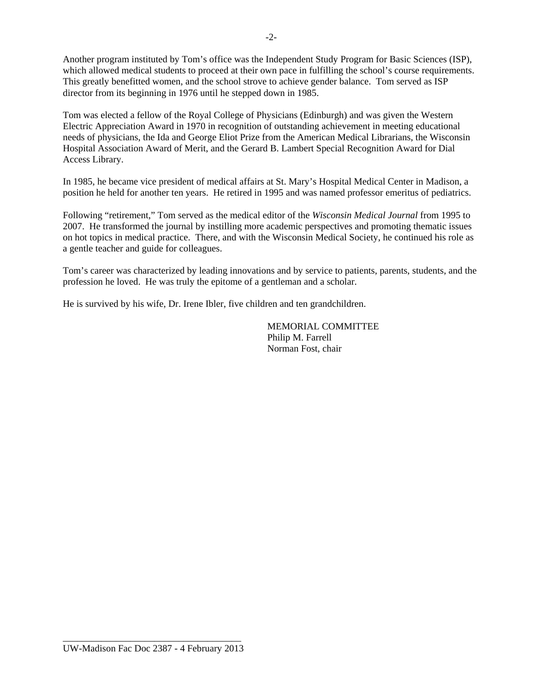Another program instituted by Tom's office was the Independent Study Program for Basic Sciences (ISP), which allowed medical students to proceed at their own pace in fulfilling the school's course requirements. This greatly benefitted women, and the school strove to achieve gender balance. Tom served as ISP director from its beginning in 1976 until he stepped down in 1985.

Tom was elected a fellow of the Royal College of Physicians (Edinburgh) and was given the Western Electric Appreciation Award in 1970 in recognition of outstanding achievement in meeting educational needs of physicians, the Ida and George Eliot Prize from the American Medical Librarians, the Wisconsin Hospital Association Award of Merit, and the Gerard B. Lambert Special Recognition Award for Dial Access Library.

In 1985, he became vice president of medical affairs at St. Mary's Hospital Medical Center in Madison, a position he held for another ten years. He retired in 1995 and was named professor emeritus of pediatrics.

Following "retirement," Tom served as the medical editor of the *Wisconsin Medical Journal* from 1995 to 2007. He transformed the journal by instilling more academic perspectives and promoting thematic issues on hot topics in medical practice. There, and with the Wisconsin Medical Society, he continued his role as a gentle teacher and guide for colleagues.

Tom's career was characterized by leading innovations and by service to patients, parents, students, and the profession he loved. He was truly the epitome of a gentleman and a scholar.

He is survived by his wife, Dr. Irene Ibler, five children and ten grandchildren.

MEMORIAL COMMITTEE Philip M. Farrell Norman Fost, chair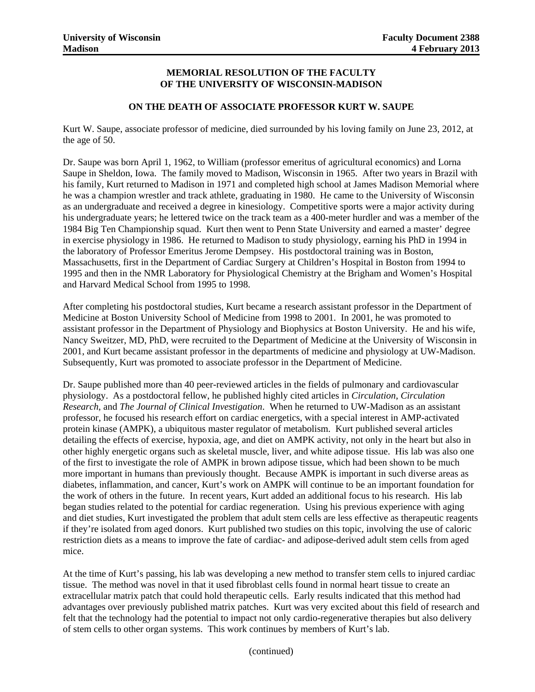#### **MEMORIAL RESOLUTION OF THE FACULTY OF THE UNIVERSITY OF WISCONSIN-MADISON**

#### **ON THE DEATH OF ASSOCIATE PROFESSOR KURT W. SAUPE**

Kurt W. Saupe, associate professor of medicine, died surrounded by his loving family on June 23, 2012, at the age of 50.

Dr. Saupe was born April 1, 1962, to William (professor emeritus of agricultural economics) and Lorna Saupe in Sheldon, Iowa. The family moved to Madison, Wisconsin in 1965. After two years in Brazil with his family, Kurt returned to Madison in 1971 and completed high school at James Madison Memorial where he was a champion wrestler and track athlete, graduating in 1980. He came to the University of Wisconsin as an undergraduate and received a degree in kinesiology. Competitive sports were a major activity during his undergraduate years; he lettered twice on the track team as a 400-meter hurdler and was a member of the 1984 Big Ten Championship squad. Kurt then went to Penn State University and earned a master' degree in exercise physiology in 1986. He returned to Madison to study physiology, earning his PhD in 1994 in the laboratory of Professor Emeritus Jerome Dempsey. His postdoctoral training was in Boston, Massachusetts, first in the Department of Cardiac Surgery at Children's Hospital in Boston from 1994 to 1995 and then in the NMR Laboratory for Physiological Chemistry at the Brigham and Women's Hospital and Harvard Medical School from 1995 to 1998.

After completing his postdoctoral studies, Kurt became a research assistant professor in the Department of Medicine at Boston University School of Medicine from 1998 to 2001. In 2001, he was promoted to assistant professor in the Department of Physiology and Biophysics at Boston University. He and his wife, Nancy Sweitzer, MD, PhD, were recruited to the Department of Medicine at the University of Wisconsin in 2001, and Kurt became assistant professor in the departments of medicine and physiology at UW-Madison. Subsequently, Kurt was promoted to associate professor in the Department of Medicine.

Dr. Saupe published more than 40 peer-reviewed articles in the fields of pulmonary and cardiovascular physiology. As a postdoctoral fellow, he published highly cited articles in *Circulation*, *Circulation Research*, and *The Journal of Clinical Investigation*. When he returned to UW-Madison as an assistant professor, he focused his research effort on cardiac energetics, with a special interest in AMP-activated protein kinase (AMPK), a ubiquitous master regulator of metabolism. Kurt published several articles detailing the effects of exercise, hypoxia, age, and diet on AMPK activity, not only in the heart but also in other highly energetic organs such as skeletal muscle, liver, and white adipose tissue. His lab was also one of the first to investigate the role of AMPK in brown adipose tissue, which had been shown to be much more important in humans than previously thought. Because AMPK is important in such diverse areas as diabetes, inflammation, and cancer, Kurt's work on AMPK will continue to be an important foundation for the work of others in the future. In recent years, Kurt added an additional focus to his research. His lab began studies related to the potential for cardiac regeneration. Using his previous experience with aging and diet studies, Kurt investigated the problem that adult stem cells are less effective as therapeutic reagents if they're isolated from aged donors. Kurt published two studies on this topic, involving the use of caloric restriction diets as a means to improve the fate of cardiac- and adipose-derived adult stem cells from aged mice.

At the time of Kurt's passing, his lab was developing a new method to transfer stem cells to injured cardiac tissue. The method was novel in that it used fibroblast cells found in normal heart tissue to create an extracellular matrix patch that could hold therapeutic cells. Early results indicated that this method had advantages over previously published matrix patches. Kurt was very excited about this field of research and felt that the technology had the potential to impact not only cardio-regenerative therapies but also delivery of stem cells to other organ systems. This work continues by members of Kurt's lab.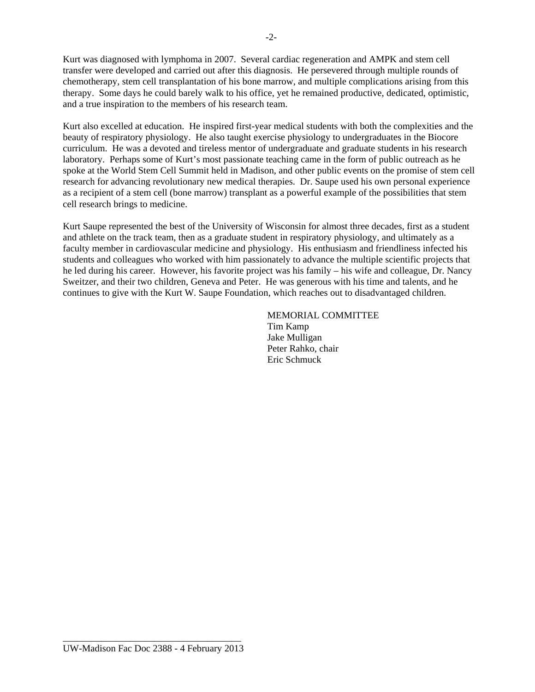Kurt was diagnosed with lymphoma in 2007. Several cardiac regeneration and AMPK and stem cell transfer were developed and carried out after this diagnosis. He persevered through multiple rounds of chemotherapy, stem cell transplantation of his bone marrow, and multiple complications arising from this therapy. Some days he could barely walk to his office, yet he remained productive, dedicated, optimistic, and a true inspiration to the members of his research team.

Kurt also excelled at education. He inspired first-year medical students with both the complexities and the beauty of respiratory physiology. He also taught exercise physiology to undergraduates in the Biocore curriculum. He was a devoted and tireless mentor of undergraduate and graduate students in his research laboratory. Perhaps some of Kurt's most passionate teaching came in the form of public outreach as he spoke at the World Stem Cell Summit held in Madison, and other public events on the promise of stem cell research for advancing revolutionary new medical therapies. Dr. Saupe used his own personal experience as a recipient of a stem cell (bone marrow) transplant as a powerful example of the possibilities that stem cell research brings to medicine.

Kurt Saupe represented the best of the University of Wisconsin for almost three decades, first as a student and athlete on the track team, then as a graduate student in respiratory physiology, and ultimately as a faculty member in cardiovascular medicine and physiology. His enthusiasm and friendliness infected his students and colleagues who worked with him passionately to advance the multiple scientific projects that he led during his career. However, his favorite project was his family – his wife and colleague, Dr. Nancy Sweitzer, and their two children, Geneva and Peter. He was generous with his time and talents, and he continues to give with the Kurt W. Saupe Foundation, which reaches out to disadvantaged children.

> MEMORIAL COMMITTEE Tim Kamp Jake Mulligan Peter Rahko, chair Eric Schmuck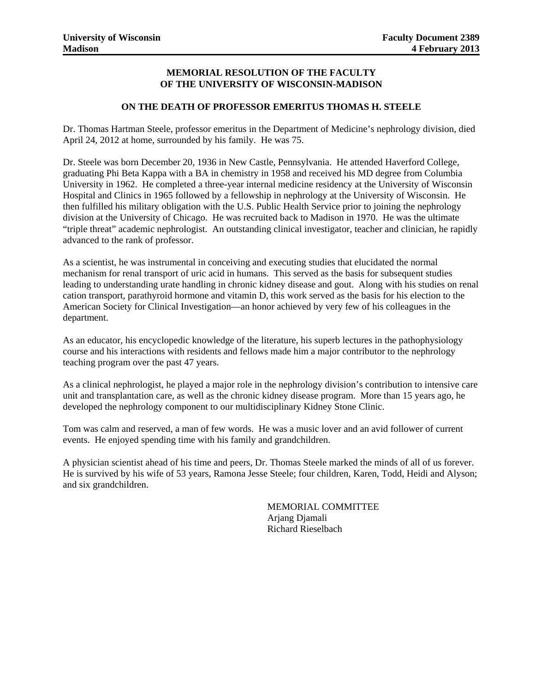#### **MEMORIAL RESOLUTION OF THE FACULTY OF THE UNIVERSITY OF WISCONSIN-MADISON**

#### **ON THE DEATH OF PROFESSOR EMERITUS THOMAS H. STEELE**

Dr. Thomas Hartman Steele, professor emeritus in the Department of Medicine's nephrology division, died April 24, 2012 at home, surrounded by his family. He was 75.

Dr. Steele was born December 20, 1936 in New Castle, Pennsylvania. He attended Haverford College, graduating Phi Beta Kappa with a BA in chemistry in 1958 and received his MD degree from Columbia University in 1962. He completed a three-year internal medicine residency at the University of Wisconsin Hospital and Clinics in 1965 followed by a fellowship in nephrology at the University of Wisconsin. He then fulfilled his military obligation with the U.S. Public Health Service prior to joining the nephrology division at the University of Chicago. He was recruited back to Madison in 1970. He was the ultimate "triple threat" academic nephrologist. An outstanding clinical investigator, teacher and clinician, he rapidly advanced to the rank of professor.

As a scientist, he was instrumental in conceiving and executing studies that elucidated the normal mechanism for renal transport of uric acid in humans. This served as the basis for subsequent studies leading to understanding urate handling in chronic kidney disease and gout. Along with his studies on renal cation transport, parathyroid hormone and vitamin D, this work served as the basis for his election to the American Society for Clinical Investigation—an honor achieved by very few of his colleagues in the department.

As an educator, his encyclopedic knowledge of the literature, his superb lectures in the pathophysiology course and his interactions with residents and fellows made him a major contributor to the nephrology teaching program over the past 47 years.

As a clinical nephrologist, he played a major role in the nephrology division's contribution to intensive care unit and transplantation care, as well as the chronic kidney disease program. More than 15 years ago, he developed the nephrology component to our multidisciplinary Kidney Stone Clinic.

Tom was calm and reserved, a man of few words. He was a music lover and an avid follower of current events. He enjoyed spending time with his family and grandchildren.

A physician scientist ahead of his time and peers, Dr. Thomas Steele marked the minds of all of us forever. He is survived by his wife of 53 years, Ramona Jesse Steele; four children, Karen, Todd, Heidi and Alyson; and six grandchildren.

> MEMORIAL COMMITTEE Arjang Djamali Richard Rieselbach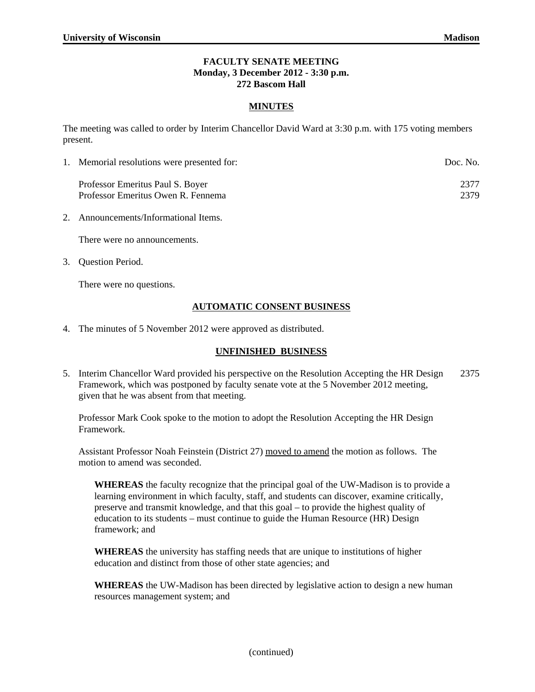#### **FACULTY SENATE MEETING Monday, 3 December 2012 - 3:30 p.m. 272 Bascom Hall**

#### **MINUTES**

The meeting was called to order by Interim Chancellor David Ward at 3:30 p.m. with 175 voting members present.

| 1. Memorial resolutions were presented for:                            | Doc. No.     |
|------------------------------------------------------------------------|--------------|
| Professor Emeritus Paul S. Boyer<br>Professor Emeritus Owen R. Fennema | 2377<br>2379 |

2. Announcements/Informational Items.

There were no announcements.

3. Question Period.

There were no questions.

#### **AUTOMATIC CONSENT BUSINESS**

4. The minutes of 5 November 2012 were approved as distributed.

#### **UNFINISHED BUSINESS**

5. Interim Chancellor Ward provided his perspective on the Resolution Accepting the HR Design 2375 Framework, which was postponed by faculty senate vote at the 5 November 2012 meeting, given that he was absent from that meeting.

Professor Mark Cook spoke to the motion to adopt the Resolution Accepting the HR Design Framework.

Assistant Professor Noah Feinstein (District 27) moved to amend the motion as follows. The motion to amend was seconded.

**WHEREAS** the faculty recognize that the principal goal of the UW-Madison is to provide a learning environment in which faculty, staff, and students can discover, examine critically, preserve and transmit knowledge, and that this goal – to provide the highest quality of education to its students – must continue to guide the Human Resource (HR) Design framework; and

**WHEREAS** the university has staffing needs that are unique to institutions of higher education and distinct from those of other state agencies; and

**WHEREAS** the UW-Madison has been directed by legislative action to design a new human resources management system; and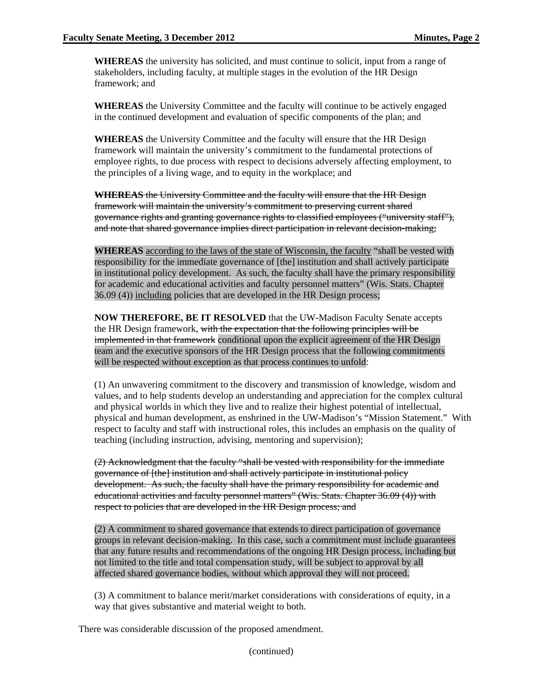**WHEREAS** the university has solicited, and must continue to solicit, input from a range of stakeholders, including faculty, at multiple stages in the evolution of the HR Design framework; and

**WHEREAS** the University Committee and the faculty will continue to be actively engaged in the continued development and evaluation of specific components of the plan; and

**WHEREAS** the University Committee and the faculty will ensure that the HR Design framework will maintain the university's commitment to the fundamental protections of employee rights, to due process with respect to decisions adversely affecting employment, to the principles of a living wage, and to equity in the workplace; and

**WHEREAS** the University Committee and the faculty will ensure that the HR Design framework will maintain the university's commitment to preserving current shared governance rights and granting governance rights to classified employees ("university staff"), and note that shared governance implies direct participation in relevant decision-making;

**WHEREAS** according to the laws of the state of Wisconsin, the faculty "shall be vested with responsibility for the immediate governance of [the] institution and shall actively participate in institutional policy development. As such, the faculty shall have the primary responsibility for academic and educational activities and faculty personnel matters" (Wis. Stats. Chapter 36.09 (4)) including policies that are developed in the HR Design process;

**NOW THEREFORE, BE IT RESOLVED** that the UW-Madison Faculty Senate accepts the HR Design framework, with the expectation that the following principles will be implemented in that framework conditional upon the explicit agreement of the HR Design team and the executive sponsors of the HR Design process that the following commitments will be respected without exception as that process continues to unfold:

(1) An unwavering commitment to the discovery and transmission of knowledge, wisdom and values, and to help students develop an understanding and appreciation for the complex cultural and physical worlds in which they live and to realize their highest potential of intellectual, physical and human development, as enshrined in the UW-Madison's "Mission Statement." With respect to faculty and staff with instructional roles, this includes an emphasis on the quality of teaching (including instruction, advising, mentoring and supervision);

(2) Acknowledgment that the faculty "shall be vested with responsibility for the immediate governance of [the] institution and shall actively participate in institutional policy development. As such, the faculty shall have the primary responsibility for academic and educational activities and faculty personnel matters" (Wis. Stats. Chapter 36.09 (4)) with respect to policies that are developed in the HR Design process; and

(2) A commitment to shared governance that extends to direct participation of governance groups in relevant decision-making. In this case, such a commitment must include guarantees that any future results and recommendations of the ongoing HR Design process, including but not limited to the title and total compensation study, will be subject to approval by all affected shared governance bodies, without which approval they will not proceed.

(3) A commitment to balance merit/market considerations with considerations of equity, in a way that gives substantive and material weight to both.

There was considerable discussion of the proposed amendment.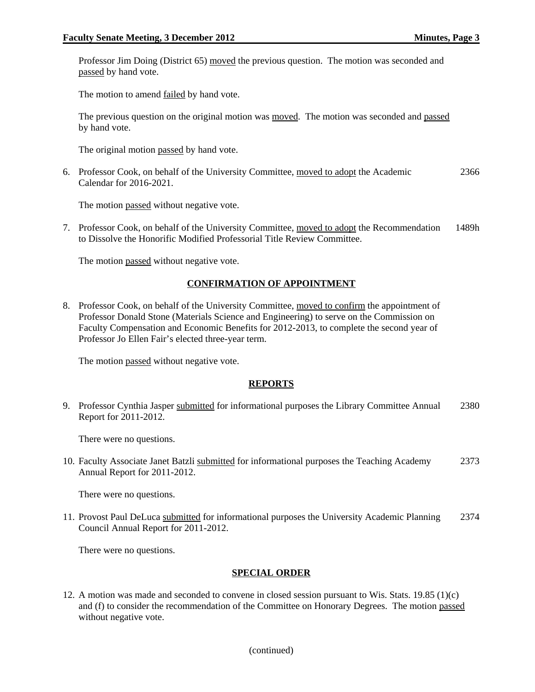Professor Jim Doing (District 65) moved the previous question. The motion was seconded and passed by hand vote.

The motion to amend failed by hand vote.

The previous question on the original motion was moved. The motion was seconded and passed by hand vote.

The original motion passed by hand vote.

6. Professor Cook, on behalf of the University Committee, moved to adopt the Academic Calendar for 2016-2021. 2366

The motion passed without negative vote.

7. Professor Cook, on behalf of the University Committee, moved to adopt the Recommendation to Dissolve the Honorific Modified Professorial Title Review Committee. 1489h

The motion passed without negative vote.

#### **CONFIRMATION OF APPOINTMENT**

8. Professor Cook, on behalf of the University Committee, moved to confirm the appointment of Professor Donald Stone (Materials Science and Engineering) to serve on the Commission on Faculty Compensation and Economic Benefits for 2012-2013, to complete the second year of Professor Jo Ellen Fair's elected three-year term.

The motion passed without negative vote.

#### **REPORTS**

9. Professor Cynthia Jasper submitted for informational purposes the Library Committee Annual Report for 2011-2012. 2380

There were no questions.

10. Faculty Associate Janet Batzli submitted for informational purposes the Teaching Academy Annual Report for 2011-2012. 2373

There were no questions.

11. Provost Paul DeLuca submitted for informational purposes the University Academic Planning Council Annual Report for 2011-2012. 2374

There were no questions.

#### **SPECIAL ORDER**

12. A motion was made and seconded to convene in closed session pursuant to Wis. Stats. 19.85 (1)(c) and (f) to consider the recommendation of the Committee on Honorary Degrees. The motion passed without negative vote.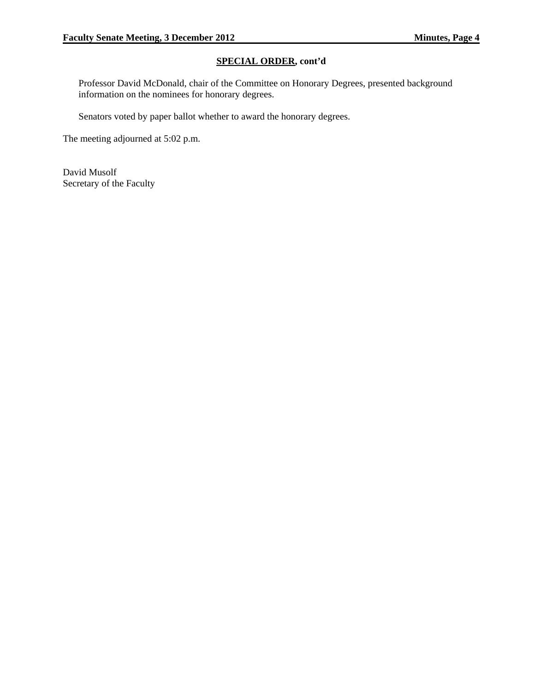#### **SPECIAL ORDER, cont'd**

Professor David McDonald, chair of the Committee on Honorary Degrees, presented background information on the nominees for honorary degrees.

Senators voted by paper ballot whether to award the honorary degrees.

The meeting adjourned at 5:02 p.m.

David Musolf Secretary of the Faculty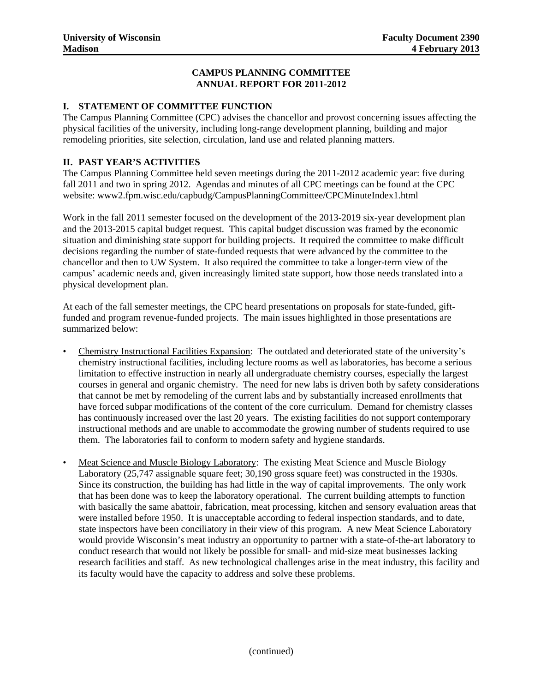#### **CAMPUS PLANNING COMMITTEE ANNUAL REPORT FOR 2011-2012**

#### **I. STATEMENT OF COMMITTEE FUNCTION**

The Campus Planning Committee (CPC) advises the chancellor and provost concerning issues affecting the physical facilities of the university, including long-range development planning, building and major remodeling priorities, site selection, circulation, land use and related planning matters.

#### **II. PAST YEAR'S ACTIVITIES**

The Campus Planning Committee held seven meetings during the 2011-2012 academic year: five during fall 2011 and two in spring 2012. Agendas and minutes of all CPC meetings can be found at the CPC website: www2.fpm.wisc.edu/capbudg/CampusPlanningCommittee/CPCMinuteIndex1.html

Work in the fall 2011 semester focused on the development of the 2013-2019 six-year development plan and the 2013-2015 capital budget request. This capital budget discussion was framed by the economic situation and diminishing state support for building projects. It required the committee to make difficult decisions regarding the number of state-funded requests that were advanced by the committee to the chancellor and then to UW System. It also required the committee to take a longer-term view of the campus' academic needs and, given increasingly limited state support, how those needs translated into a physical development plan.

At each of the fall semester meetings, the CPC heard presentations on proposals for state-funded, giftfunded and program revenue-funded projects. The main issues highlighted in those presentations are summarized below:

- Chemistry Instructional Facilities Expansion: The outdated and deteriorated state of the university's chemistry instructional facilities, including lecture rooms as well as laboratories, has become a serious limitation to effective instruction in nearly all undergraduate chemistry courses, especially the largest courses in general and organic chemistry. The need for new labs is driven both by safety considerations that cannot be met by remodeling of the current labs and by substantially increased enrollments that have forced subpar modifications of the content of the core curriculum. Demand for chemistry classes has continuously increased over the last 20 years. The existing facilities do not support contemporary instructional methods and are unable to accommodate the growing number of students required to use them. The laboratories fail to conform to modern safety and hygiene standards.
- Meat Science and Muscle Biology Laboratory: The existing Meat Science and Muscle Biology Laboratory (25,747 assignable square feet; 30,190 gross square feet) was constructed in the 1930s. Since its construction, the building has had little in the way of capital improvements. The only work that has been done was to keep the laboratory operational. The current building attempts to function with basically the same abattoir, fabrication, meat processing, kitchen and sensory evaluation areas that were installed before 1950. It is unacceptable according to federal inspection standards, and to date, state inspectors have been conciliatory in their view of this program. A new Meat Science Laboratory would provide Wisconsin's meat industry an opportunity to partner with a state-of-the-art laboratory to conduct research that would not likely be possible for small- and mid-size meat businesses lacking research facilities and staff. As new technological challenges arise in the meat industry, this facility and its faculty would have the capacity to address and solve these problems.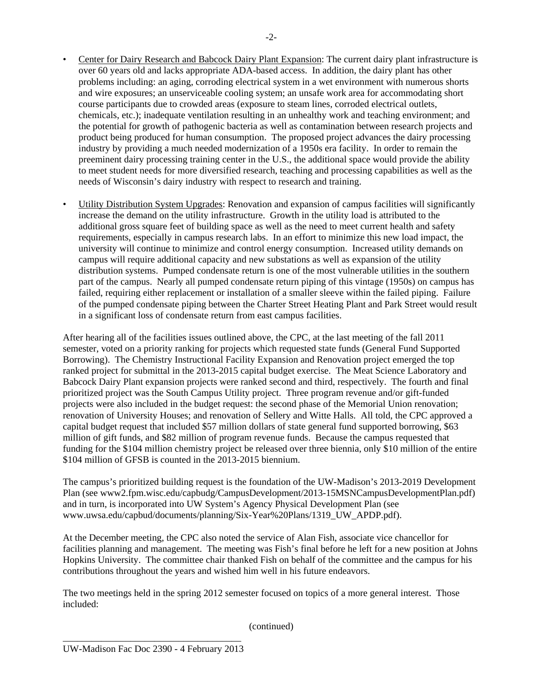- Center for Dairy Research and Babcock Dairy Plant Expansion: The current dairy plant infrastructure is over 60 years old and lacks appropriate ADA-based access. In addition, the dairy plant has other problems including: an aging, corroding electrical system in a wet environment with numerous shorts and wire exposures; an unserviceable cooling system; an unsafe work area for accommodating short course participants due to crowded areas (exposure to steam lines, corroded electrical outlets, chemicals, etc.); inadequate ventilation resulting in an unhealthy work and teaching environment; and the potential for growth of pathogenic bacteria as well as contamination between research projects and product being produced for human consumption. The proposed project advances the dairy processing industry by providing a much needed modernization of a 1950s era facility. In order to remain the preeminent dairy processing training center in the U.S., the additional space would provide the ability to meet student needs for more diversified research, teaching and processing capabilities as well as the needs of Wisconsin's dairy industry with respect to research and training.
- Utility Distribution System Upgrades: Renovation and expansion of campus facilities will significantly increase the demand on the utility infrastructure. Growth in the utility load is attributed to the additional gross square feet of building space as well as the need to meet current health and safety requirements, especially in campus research labs. In an effort to minimize this new load impact, the university will continue to minimize and control energy consumption. Increased utility demands on campus will require additional capacity and new substations as well as expansion of the utility distribution systems. Pumped condensate return is one of the most vulnerable utilities in the southern part of the campus. Nearly all pumped condensate return piping of this vintage (1950s) on campus has failed, requiring either replacement or installation of a smaller sleeve within the failed piping. Failure of the pumped condensate piping between the Charter Street Heating Plant and Park Street would result in a significant loss of condensate return from east campus facilities.

After hearing all of the facilities issues outlined above, the CPC, at the last meeting of the fall 2011 semester, voted on a priority ranking for projects which requested state funds (General Fund Supported Borrowing). The Chemistry Instructional Facility Expansion and Renovation project emerged the top ranked project for submittal in the 2013-2015 capital budget exercise. The Meat Science Laboratory and Babcock Dairy Plant expansion projects were ranked second and third, respectively. The fourth and final prioritized project was the South Campus Utility project. Three program revenue and/or gift-funded projects were also included in the budget request: the second phase of the Memorial Union renovation; renovation of University Houses; and renovation of Sellery and Witte Halls. All told, the CPC approved a capital budget request that included \$57 million dollars of state general fund supported borrowing, \$63 million of gift funds, and \$82 million of program revenue funds. Because the campus requested that funding for the \$104 million chemistry project be released over three biennia, only \$10 million of the entire \$104 million of GFSB is counted in the 2013-2015 biennium.

The campus's prioritized building request is the foundation of the UW-Madison's 2013-2019 Development Plan (see www2.fpm.wisc.edu/capbudg/CampusDevelopment/2013-15MSNCampusDevelopmentPlan.pdf) and in turn, is incorporated into UW System's Agency Physical Development Plan (see www.uwsa.edu/capbud/documents/planning/Six-Year%20Plans/1319\_UW\_APDP.pdf).

At the December meeting, the CPC also noted the service of Alan Fish, associate vice chancellor for facilities planning and management. The meeting was Fish's final before he left for a new position at Johns Hopkins University. The committee chair thanked Fish on behalf of the committee and the campus for his contributions throughout the years and wished him well in his future endeavors.

The two meetings held in the spring 2012 semester focused on topics of a more general interest. Those included: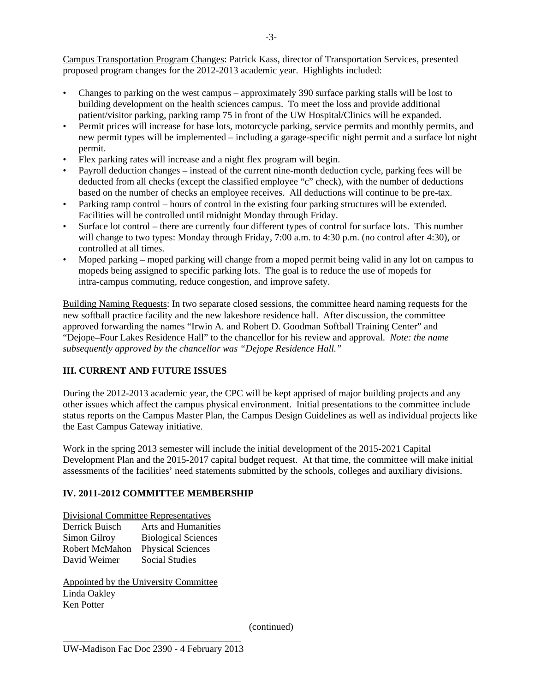Campus Transportation Program Changes: Patrick Kass, director of Transportation Services, presented proposed program changes for the 2012-2013 academic year. Highlights included:

- Changes to parking on the west campus approximately 390 surface parking stalls will be lost to building development on the health sciences campus. To meet the loss and provide additional patient/visitor parking, parking ramp 75 in front of the UW Hospital/Clinics will be expanded.
- Permit prices will increase for base lots, motorcycle parking, service permits and monthly permits, and new permit types will be implemented – including a garage-specific night permit and a surface lot night permit.
- Flex parking rates will increase and a night flex program will begin.
- Payroll deduction changes instead of the current nine-month deduction cycle, parking fees will be deducted from all checks (except the classified employee "c" check), with the number of deductions based on the number of checks an employee receives. All deductions will continue to be pre-tax.
- Parking ramp control hours of control in the existing four parking structures will be extended. Facilities will be controlled until midnight Monday through Friday.
- Surface lot control there are currently four different types of control for surface lots. This number will change to two types: Monday through Friday, 7:00 a.m. to 4:30 p.m. (no control after 4:30), or controlled at all times.
- Moped parking moped parking will change from a moped permit being valid in any lot on campus to mopeds being assigned to specific parking lots. The goal is to reduce the use of mopeds for intra-campus commuting, reduce congestion, and improve safety.

Building Naming Requests: In two separate closed sessions, the committee heard naming requests for the new softball practice facility and the new lakeshore residence hall. After discussion, the committee approved forwarding the names "Irwin A. and Robert D. Goodman Softball Training Center" and "Dejope–Four Lakes Residence Hall" to the chancellor for his review and approval. *Note: the name subsequently approved by the chancellor was "Dejope Residence Hall."* 

#### **III. CURRENT AND FUTURE ISSUES**

During the 2012-2013 academic year, the CPC will be kept apprised of major building projects and any other issues which affect the campus physical environment. Initial presentations to the committee include status reports on the Campus Master Plan, the Campus Design Guidelines as well as individual projects like the East Campus Gateway initiative.

Work in the spring 2013 semester will include the initial development of the 2015-2021 Capital Development Plan and the 2015-2017 capital budget request. At that time, the committee will make initial assessments of the facilities' need statements submitted by the schools, colleges and auxiliary divisions.

#### **IV. 2011-2012 COMMITTEE MEMBERSHIP**

Divisional Committee Representatives

| Derrick Buisch | <b>Arts and Humanities</b> |
|----------------|----------------------------|
| Simon Gilroy   | <b>Biological Sciences</b> |
| Robert McMahon | <b>Physical Sciences</b>   |
| David Weimer   | <b>Social Studies</b>      |

Appointed by the University Committee Linda Oakley Ken Potter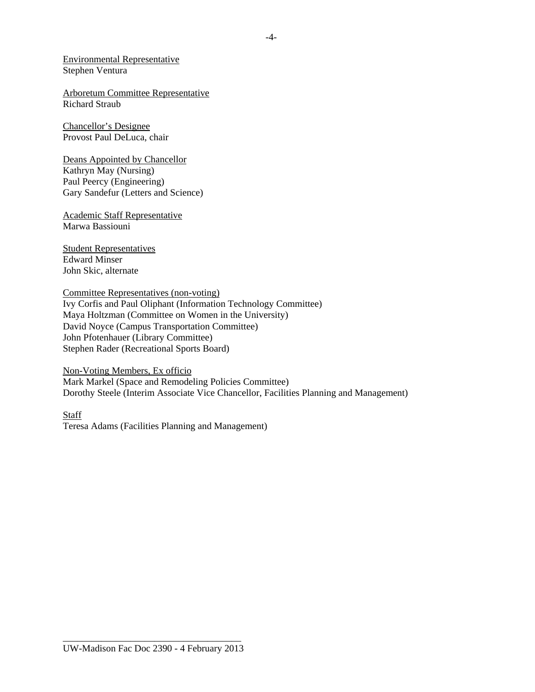Environmental Representative Stephen Ventura

Arboretum Committee Representative Richard Straub

Chancellor's Designee Provost Paul DeLuca, chair

Deans Appointed by Chancellor Kathryn May (Nursing) Paul Peercy (Engineering) Gary Sandefur (Letters and Science)

Academic Staff Representative Marwa Bassiouni

Student Representatives Edward Minser John Skic, alternate

#### Committee Representatives (non-voting)

Ivy Corfis and Paul Oliphant (Information Technology Committee) Maya Holtzman (Committee on Women in the University) David Noyce (Campus Transportation Committee) John Pfotenhauer (Library Committee) Stephen Rader (Recreational Sports Board)

#### Non-Voting Members, Ex officio

Mark Markel (Space and Remodeling Policies Committee) Dorothy Steele (Interim Associate Vice Chancellor, Facilities Planning and Management)

Staff Teresa Adams (Facilities Planning and Management)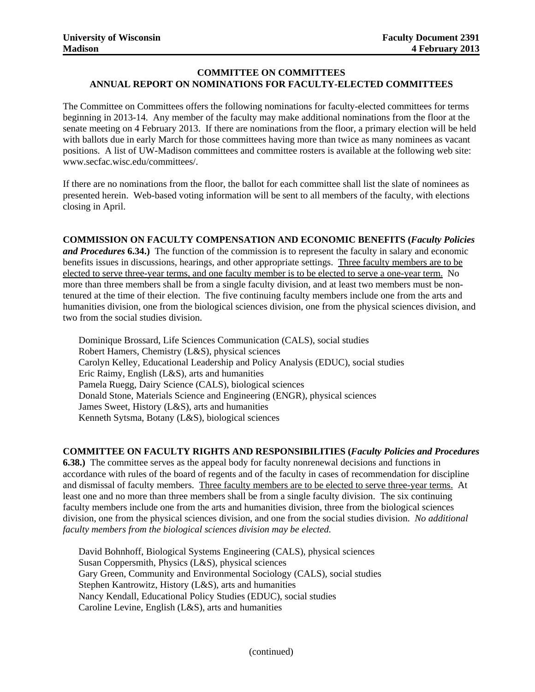# **COMMITTEE ON COMMITTEES** University of Wisconsin Faculty Document 2391<br>Madison 4 February 2013<br>COMMITTEE ON COMMITTEES<br>ANNUAL REPORT ON NOMINATIONS FOR FACULTY-ELECTED COMMITTEES

The Committee on Committees offers the following nominations for faculty-elected committees for terms beginning in 2013-14. Any member of the faculty may make additional nominations from the floor at the senate meeting on 4 February 2013. If there are nominations from the floor, a primary election will be held with ballots due in early March for those committees having more than twice as many nominees as vacant positions. A list of UW-Madison committees and committee rosters is available at the following web site: www.secfac.wisc.edu/committees/.

If there are no nominations from the floor, the ballot for each committee shall list the slate of nominees as presented herein. Web-based voting information will be sent to all members of the faculty, with elections closing in April.

#### **COMMISSION ON FACULTY COMPENSATION AND ECONOMIC BENEFITS (***Faculty Policies*

*and Procedures* **6.34.)** The function of the commission is to represent the faculty in salary and economic benefits issues in discussions, hearings, and other appropriate settings. Three faculty members are to be elected to serve three-year terms, and one faculty member is to be elected to serve a one-year term. No more than three members shall be from a single faculty division, and at least two members must be nontenured at the time of their election. The five continuing faculty members include one from the arts and humanities division, one from the biological sciences division, one from the physical sciences division, and two from the social studies division.

Dominique Brossard, Life Sciences Communication (CALS), social studies Robert Hamers, Chemistry (L&S), physical sciences Carolyn Kelley, Educational Leadership and Policy Analysis (EDUC), social studies Eric Raimy, English (L&S), arts and humanities Pamela Ruegg, Dairy Science (CALS), biological sciences Donald Stone, Materials Science and Engineering (ENGR), physical sciences James Sweet, History (L&S), arts and humanities Kenneth Sytsma, Botany (L&S), biological sciences

#### **COMMITTEE ON FACULTY RIGHTS AND RESPONSIBILITIES (***Faculty Policies and Procedures*

**6.38.)** The committee serves as the appeal body for faculty nonrenewal decisions and functions in accordance with rules of the board of regents and of the faculty in cases of recommendation for discipline and dismissal of faculty members. Three faculty members are to be elected to serve three-year terms. At least one and no more than three members shall be from a single faculty division. The six continuing faculty members include one from the arts and humanities division, three from the biological sciences division, one from the physical sciences division, and one from the social studies division. *No additional faculty members from the biological sciences division may be elected.* 

David Bohnhoff, Biological Systems Engineering (CALS), physical sciences Susan Coppersmith, Physics (L&S), physical sciences Gary Green, Community and Environmental Sociology (CALS), social studies Stephen Kantrowitz, History (L&S), arts and humanities Nancy Kendall, Educational Policy Studies (EDUC), social studies Caroline Levine, English (L&S), arts and humanities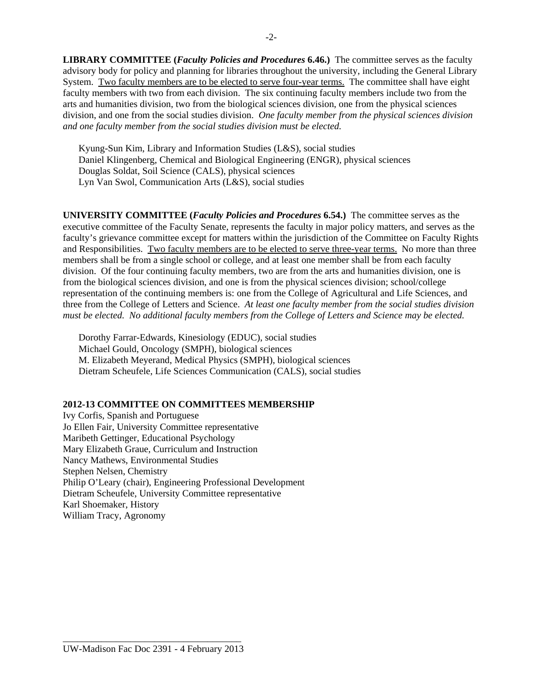**LIBRARY COMMITTEE (***Faculty Policies and Procedures* **6.46.)** The committee serves as the faculty advisory body for policy and planning for libraries throughout the university, including the General Library System. Two faculty members are to be elected to serve four-year terms. The committee shall have eight faculty members with two from each division. The six continuing faculty members include two from the arts and humanities division, two from the biological sciences division, one from the physical sciences division, and one from the social studies division. *One faculty member from the physical sciences division and one faculty member from the social studies division must be elected.* 

Kyung-Sun Kim, Library and Information Studies (L&S), social studies Daniel Klingenberg, Chemical and Biological Engineering (ENGR), physical sciences Douglas Soldat, Soil Science (CALS), physical sciences Lyn Van Swol, Communication Arts (L&S), social studies

**UNIVERSITY COMMITTEE (***Faculty Policies and Procedures* **6.54.)** The committee serves as the executive committee of the Faculty Senate, represents the faculty in major policy matters, and serves as the faculty's grievance committee except for matters within the jurisdiction of the Committee on Faculty Rights and Responsibilities. Two faculty members are to be elected to serve three-year terms. No more than three members shall be from a single school or college, and at least one member shall be from each faculty division. Of the four continuing faculty members, two are from the arts and humanities division, one is from the biological sciences division, and one is from the physical sciences division; school/college representation of the continuing members is: one from the College of Agricultural and Life Sciences, and three from the College of Letters and Science. *At least one faculty member from the social studies division must be elected. No additional faculty members from the College of Letters and Science may be elected.* 

Dorothy Farrar-Edwards, Kinesiology (EDUC), social studies Michael Gould, Oncology (SMPH), biological sciences M. Elizabeth Meyerand, Medical Physics (SMPH), biological sciences Dietram Scheufele, Life Sciences Communication (CALS), social studies

#### **2012-13 COMMITTEE ON COMMITTEES MEMBERSHIP**

Ivy Corfis, Spanish and Portuguese Jo Ellen Fair, University Committee representative Maribeth Gettinger, Educational Psychology Mary Elizabeth Graue, Curriculum and Instruction Nancy Mathews, Environmental Studies Stephen Nelsen, Chemistry Philip O'Leary (chair), Engineering Professional Development Dietram Scheufele, University Committee representative Karl Shoemaker, History William Tracy, Agronomy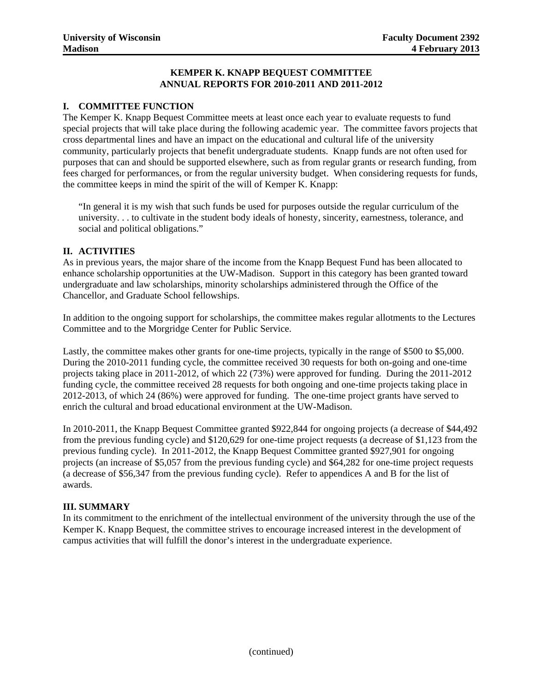#### **KEMPER K. KNAPP BEQUEST COMMITTEE ANNUAL REPORTS FOR 2010-2011 AND 2011-2012**

#### **I. COMMITTEE FUNCTION**

The Kemper K. Knapp Bequest Committee meets at least once each year to evaluate requests to fund special projects that will take place during the following academic year. The committee favors projects that cross departmental lines and have an impact on the educational and cultural life of the university community, particularly projects that benefit undergraduate students. Knapp funds are not often used for purposes that can and should be supported elsewhere, such as from regular grants or research funding, from fees charged for performances, or from the regular university budget. When considering requests for funds, the committee keeps in mind the spirit of the will of Kemper K. Knapp:

"In general it is my wish that such funds be used for purposes outside the regular curriculum of the university. . . to cultivate in the student body ideals of honesty, sincerity, earnestness, tolerance, and social and political obligations."

#### **II. ACTIVITIES**

As in previous years, the major share of the income from the Knapp Bequest Fund has been allocated to enhance scholarship opportunities at the UW-Madison. Support in this category has been granted toward undergraduate and law scholarships, minority scholarships administered through the Office of the Chancellor, and Graduate School fellowships.

In addition to the ongoing support for scholarships, the committee makes regular allotments to the Lectures Committee and to the Morgridge Center for Public Service.

Lastly, the committee makes other grants for one-time projects, typically in the range of \$500 to \$5,000. During the 2010-2011 funding cycle, the committee received 30 requests for both on-going and one-time projects taking place in 2011-2012, of which 22 (73%) were approved for funding. During the 2011-2012 funding cycle, the committee received 28 requests for both ongoing and one-time projects taking place in 2012-2013, of which 24 (86%) were approved for funding. The one-time project grants have served to enrich the cultural and broad educational environment at the UW-Madison.

In 2010-2011, the Knapp Bequest Committee granted \$922,844 for ongoing projects (a decrease of \$44,492 from the previous funding cycle) and \$120,629 for one-time project requests (a decrease of \$1,123 from the previous funding cycle). In 2011-2012, the Knapp Bequest Committee granted \$927,901 for ongoing projects (an increase of \$5,057 from the previous funding cycle) and \$64,282 for one-time project requests (a decrease of \$56,347 from the previous funding cycle). Refer to appendices A and B for the list of awards.

#### **III. SUMMARY**

In its commitment to the enrichment of the intellectual environment of the university through the use of the Kemper K. Knapp Bequest, the committee strives to encourage increased interest in the development of campus activities that will fulfill the donor's interest in the undergraduate experience.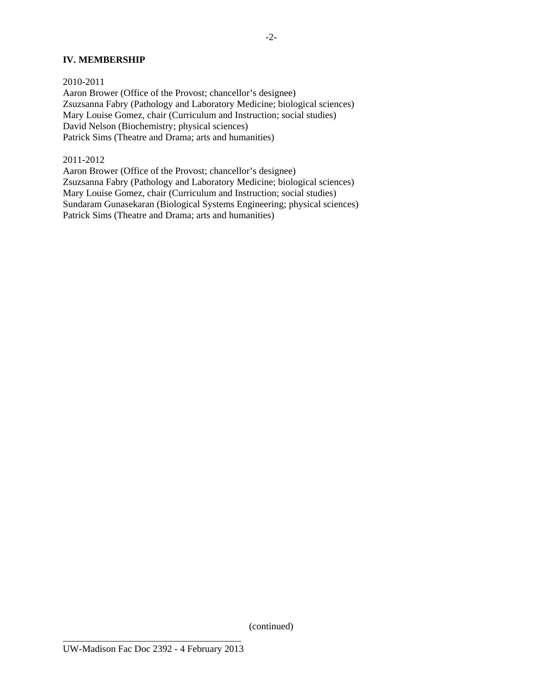#### **IV. MEMBERSHIP**

2010-2011 Aaron Brower (Office of the Provost; chancellor's designee) Zsuzsanna Fabry (Pathology and Laboratory Medicine; biological sciences) Mary Louise Gomez, chair (Curriculum and Instruction; social studies) David Nelson (Biochemistry; physical sciences) Patrick Sims (Theatre and Drama; arts and humanities)

#### 2011-2012

Aaron Brower (Office of the Provost; chancellor's designee) Zsuzsanna Fabry (Pathology and Laboratory Medicine; biological sciences) Mary Louise Gomez, chair (Curriculum and Instruction; social studies) Sundaram Gunasekaran (Biological Systems Engineering; physical sciences) Patrick Sims (Theatre and Drama; arts and humanities)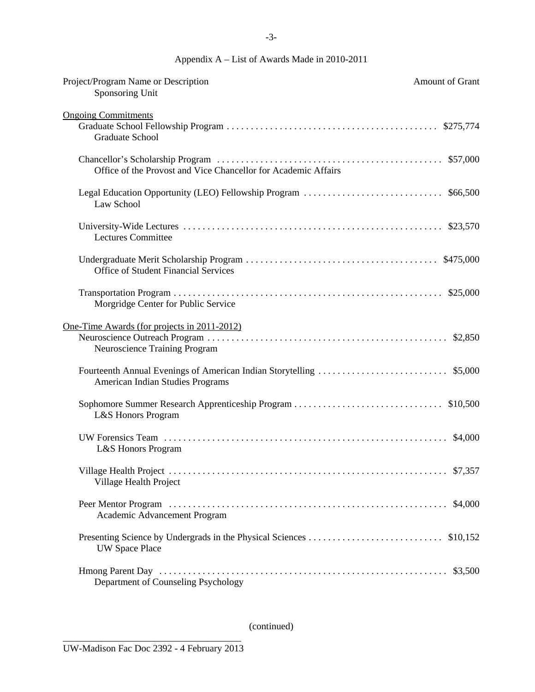# Appendix A – List of Awards Made in 2010-2011

| Project/Program Name or Description<br>Sponsoring Unit                                         | Amount of Grant |
|------------------------------------------------------------------------------------------------|-----------------|
| <b>Ongoing Commitments</b>                                                                     |                 |
| <b>Graduate School</b>                                                                         | \$275,774       |
| Office of the Provost and Vice Chancellor for Academic Affairs                                 |                 |
| Legal Education Opportunity (LEO) Fellowship Program<br>Law School                             | \$66,500        |
| <b>Lectures Committee</b>                                                                      |                 |
| <b>Office of Student Financial Services</b>                                                    | \$475,000       |
| Morgridge Center for Public Service                                                            |                 |
| One-Time Awards (for projects in 2011-2012)<br>Neuroscience Training Program                   |                 |
| Fourteenth Annual Evenings of American Indian Storytelling<br>American Indian Studies Programs | \$5,000         |
| L&S Honors Program                                                                             | \$10,500        |
| L&S Honors Program                                                                             | \$4,000         |
| Village Health Project                                                                         |                 |
| Academic Advancement Program                                                                   | \$4,000         |
| <b>UW Space Place</b>                                                                          | \$10,152        |
| Department of Counseling Psychology                                                            | \$3,500         |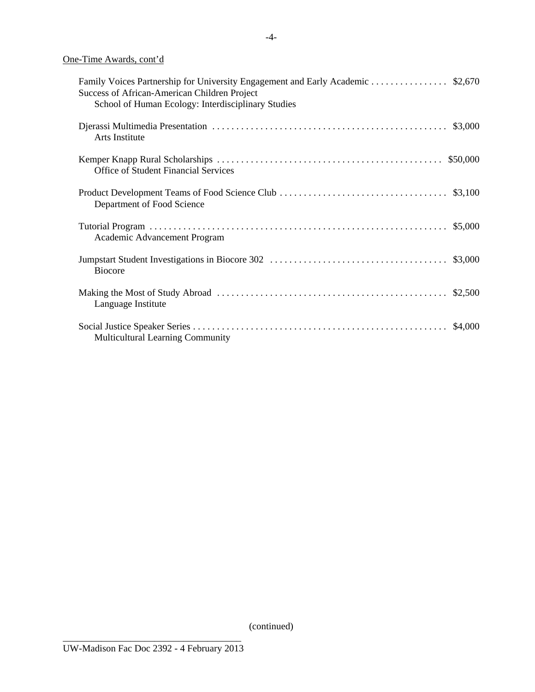One-Time Awards, cont'd

| Family Voices Partnership for University Engagement and Early Academic  \$2,670<br>Success of African-American Children Project<br>School of Human Ecology: Interdisciplinary Studies |  |
|---------------------------------------------------------------------------------------------------------------------------------------------------------------------------------------|--|
| Arts Institute                                                                                                                                                                        |  |
| <b>Office of Student Financial Services</b>                                                                                                                                           |  |
| Department of Food Science                                                                                                                                                            |  |
| Academic Advancement Program                                                                                                                                                          |  |
| <b>Biocore</b>                                                                                                                                                                        |  |
| Language Institute                                                                                                                                                                    |  |
| <b>Multicultural Learning Community</b>                                                                                                                                               |  |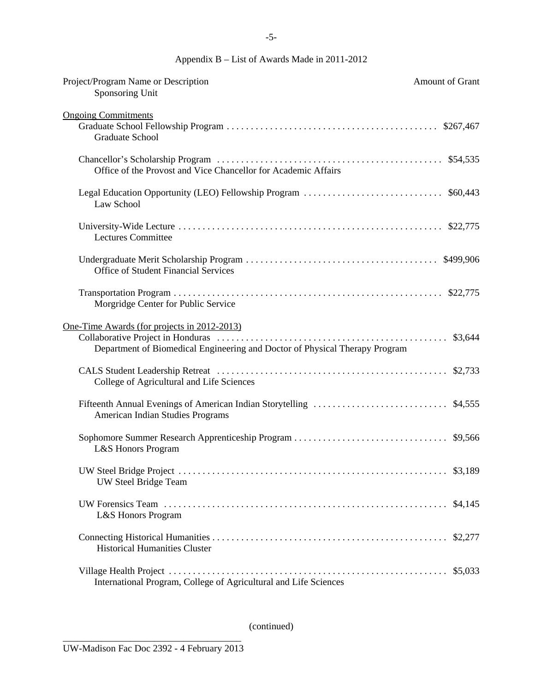# Appendix B – List of Awards Made in 2011-2012

| Project/Program Name or Description<br>Sponsoring Unit                                                                     | Amount of Grant |
|----------------------------------------------------------------------------------------------------------------------------|-----------------|
| <b>Ongoing Commitments</b><br><b>Graduate School</b>                                                                       |                 |
| Office of the Provost and Vice Chancellor for Academic Affairs                                                             |                 |
| Law School                                                                                                                 |                 |
| <b>Lectures Committee</b>                                                                                                  |                 |
| <b>Office of Student Financial Services</b>                                                                                |                 |
| Morgridge Center for Public Service                                                                                        |                 |
| One-Time Awards (for projects in 2012-2013)<br>Department of Biomedical Engineering and Doctor of Physical Therapy Program |                 |
| College of Agricultural and Life Sciences                                                                                  |                 |
| Fifteenth Annual Evenings of American Indian Storytelling<br>American Indian Studies Programs                              | \$4,555         |
| L&S Honors Program                                                                                                         |                 |
| UW Steel Bridge Team                                                                                                       |                 |
| L&S Honors Program                                                                                                         | \$4,145         |
| <b>Historical Humanities Cluster</b>                                                                                       | \$2,277         |
| International Program, College of Agricultural and Life Sciences                                                           | \$5,033         |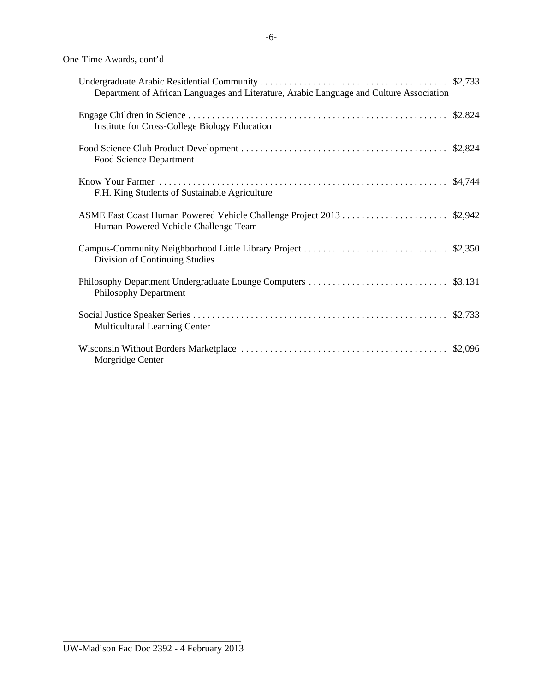# One-Time Awards, cont'd

| Department of African Languages and Literature, Arabic Language and Culture Association |  |
|-----------------------------------------------------------------------------------------|--|
| Institute for Cross-College Biology Education                                           |  |
| Food Science Department                                                                 |  |
| F.H. King Students of Sustainable Agriculture                                           |  |
| Human-Powered Vehicle Challenge Team                                                    |  |
| Division of Continuing Studies                                                          |  |
| Philosophy Department                                                                   |  |
| Multicultural Learning Center                                                           |  |
| Morgridge Center                                                                        |  |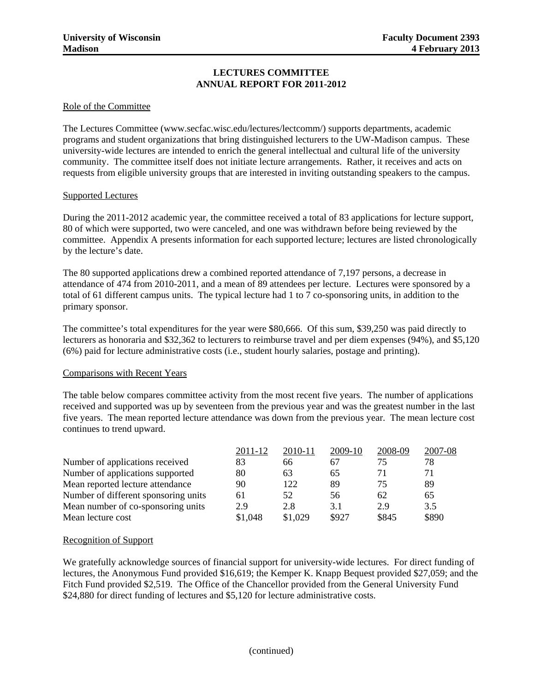#### **LECTURES COMMITTEE ANNUAL REPORT FOR 2011-2012**

#### Role of the Committee

The Lectures Committee (www.secfac.wisc.edu/lectures/lectcomm/) supports departments, academic programs and student organizations that bring distinguished lecturers to the UW-Madison campus. These university-wide lectures are intended to enrich the general intellectual and cultural life of the university community. The committee itself does not initiate lecture arrangements. Rather, it receives and acts on requests from eligible university groups that are interested in inviting outstanding speakers to the campus.

#### Supported Lectures

During the 2011-2012 academic year, the committee received a total of 83 applications for lecture support, 80 of which were supported, two were canceled, and one was withdrawn before being reviewed by the committee. Appendix A presents information for each supported lecture; lectures are listed chronologically by the lecture's date.

The 80 supported applications drew a combined reported attendance of 7,197 persons, a decrease in attendance of 474 from 2010-2011, and a mean of 89 attendees per lecture. Lectures were sponsored by a total of 61 different campus units. The typical lecture had 1 to 7 co-sponsoring units, in addition to the primary sponsor.

The committee's total expenditures for the year were \$80,666. Of this sum, \$39,250 was paid directly to lecturers as honoraria and \$32,362 to lecturers to reimburse travel and per diem expenses (94%), and \$5,120 (6%) paid for lecture administrative costs (i.e., student hourly salaries, postage and printing).

#### Comparisons with Recent Years

The table below compares committee activity from the most recent five years. The number of applications received and supported was up by seventeen from the previous year and was the greatest number in the last five years. The mean reported lecture attendance was down from the previous year. The mean lecture cost continues to trend upward.

|                                      | 2011-12 | 2010-11 | 2009-10 | 2008-09 | 2007-08 |
|--------------------------------------|---------|---------|---------|---------|---------|
| Number of applications received      | 83      | 66      | 67      | 75      | 78      |
| Number of applications supported     | 80      | 63      | 65      | 71      |         |
| Mean reported lecture attendance     | 90      | 122     | 89      | 75      | 89      |
| Number of different sponsoring units | 61      | 52      | 56      | 62      | 65      |
| Mean number of co-sponsoring units   | 2.9     | 2.8     | 3.1     | 2.9     | 3.5     |
| Mean lecture cost                    | \$1,048 | \$1,029 | \$927   | \$845   | \$890   |

#### Recognition of Support

We gratefully acknowledge sources of financial support for university-wide lectures. For direct funding of lectures, the Anonymous Fund provided \$16,619; the Kemper K. Knapp Bequest provided \$27,059; and the Fitch Fund provided \$2,519. The Office of the Chancellor provided from the General University Fund \$24,880 for direct funding of lectures and \$5,120 for lecture administrative costs.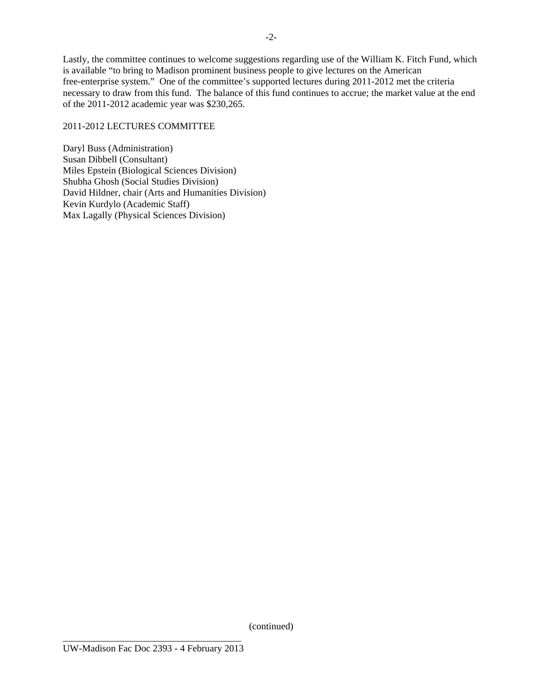Lastly, the committee continues to welcome suggestions regarding use of the William K. Fitch Fund, which is available "to bring to Madison prominent business people to give lectures on the American free-enterprise system." One of the committee's supported lectures during 2011-2012 met the criteria necessary to draw from this fund. The balance of this fund continues to accrue; the market value at the end of the 2011-2012 academic year was \$230,265.

#### 2011-2012 LECTURES COMMITTEE

Daryl Buss (Administration) Susan Dibbell (Consultant) Miles Epstein (Biological Sciences Division) Shubha Ghosh (Social Studies Division) David Hildner, chair (Arts and Humanities Division) Kevin Kurdylo (Academic Staff) Max Lagally (Physical Sciences Division)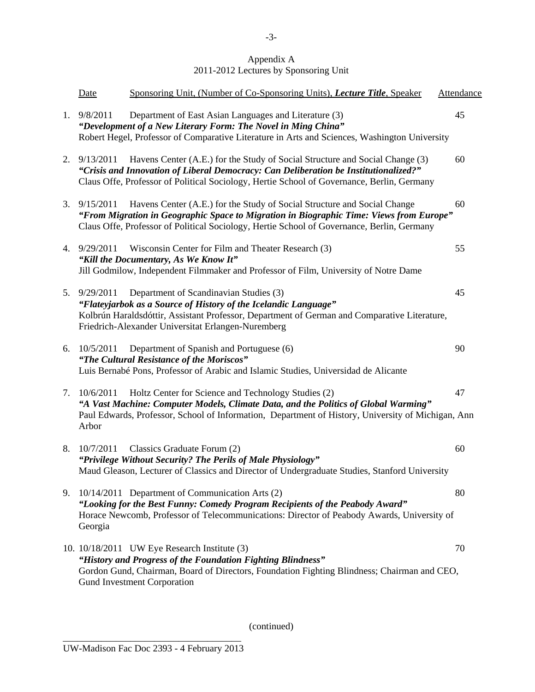#### Appendix A 2011-2012 Lectures by Sponsoring Unit

|    | <b>Date</b>        | Sponsoring Unit, (Number of Co-Sponsoring Units), Lecture Title, Speaker                                                                                                                                                                                           | <b>Attendance</b> |
|----|--------------------|--------------------------------------------------------------------------------------------------------------------------------------------------------------------------------------------------------------------------------------------------------------------|-------------------|
|    | 1.9/8/2011         | Department of East Asian Languages and Literature (3)<br>"Development of a New Literary Form: The Novel in Ming China"<br>Robert Hegel, Professor of Comparative Literature in Arts and Sciences, Washington University                                            | 45                |
| 2. | 9/13/2011          | Havens Center (A.E.) for the Study of Social Structure and Social Change (3)<br>"Crisis and Innovation of Liberal Democracy: Can Deliberation be Institutionalized?"<br>Claus Offe, Professor of Political Sociology, Hertie School of Governance, Berlin, Germany | 60                |
|    | 3.9/15/2011        | Havens Center (A.E.) for the Study of Social Structure and Social Change<br>"From Migration in Geographic Space to Migration in Biographic Time: Views from Europe"<br>Claus Offe, Professor of Political Sociology, Hertie School of Governance, Berlin, Germany  | 60                |
|    | 4. 9/29/2011       | Wisconsin Center for Film and Theater Research (3)<br>"Kill the Documentary, As We Know It"<br>Jill Godmilow, Independent Filmmaker and Professor of Film, University of Notre Dame                                                                                | 55                |
|    | 5. 9/29/2011       | Department of Scandinavian Studies (3)<br>"Flateyjarbok as a Source of History of the Icelandic Language"<br>Kolbrún Haraldsdóttir, Assistant Professor, Department of German and Comparative Literature,<br>Friedrich-Alexander Universitat Erlangen-Nuremberg    | 45                |
| 6. | 10/5/2011          | Department of Spanish and Portuguese (6)<br>"The Cultural Resistance of the Moriscos"<br>Luis Bernabé Pons, Professor of Arabic and Islamic Studies, Universidad de Alicante                                                                                       | 90                |
| 7. | 10/6/2011<br>Arbor | Holtz Center for Science and Technology Studies (2)<br>"A Vast Machine: Computer Models, Climate Data, and the Politics of Global Warming"<br>Paul Edwards, Professor, School of Information, Department of History, University of Michigan, Ann                   | 47                |
| 8. | 10/7/2011          | Classics Graduate Forum (2)<br>"Privilege Without Security? The Perils of Male Physiology"<br>Maud Gleason, Lecturer of Classics and Director of Undergraduate Studies, Stanford University                                                                        | 60                |
|    | Georgia            | 9. 10/14/2011 Department of Communication Arts (2)<br>"Looking for the Best Funny: Comedy Program Recipients of the Peabody Award"<br>Horace Newcomb, Professor of Telecommunications: Director of Peabody Awards, University of                                   | 80                |
|    |                    | 10. 10/18/2011 UW Eye Research Institute (3)<br>"History and Progress of the Foundation Fighting Blindness"<br>Gordon Gund, Chairman, Board of Directors, Foundation Fighting Blindness; Chairman and CEO,<br><b>Gund Investment Corporation</b>                   | 70                |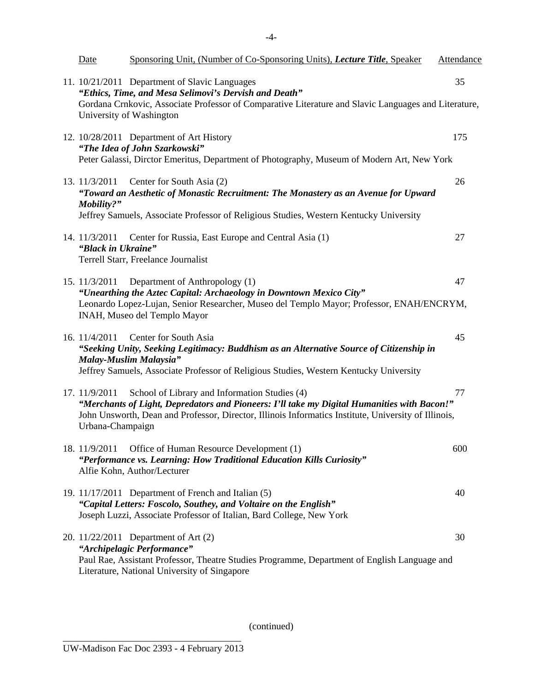| <b>Date</b>                         | Sponsoring Unit, (Number of Co-Sponsoring Units), <i>Lecture Title</i> , Speaker                                                                                                                                                                     | Attendance |
|-------------------------------------|------------------------------------------------------------------------------------------------------------------------------------------------------------------------------------------------------------------------------------------------------|------------|
|                                     | 11. 10/21/2011 Department of Slavic Languages<br>"Ethics, Time, and Mesa Selimovi's Dervish and Death"<br>Gordana Crnkovic, Associate Professor of Comparative Literature and Slavic Languages and Literature,<br>University of Washington           | 35         |
|                                     | 12. 10/28/2011 Department of Art History<br>"The Idea of John Szarkowski"<br>Peter Galassi, Dirctor Emeritus, Department of Photography, Museum of Modern Art, New York                                                                              | 175        |
| 13. 11/3/2011<br>Mobility?"         | Center for South Asia (2)<br>"Toward an Aesthetic of Monastic Recruitment: The Monastery as an Avenue for Upward<br>Jeffrey Samuels, Associate Professor of Religious Studies, Western Kentucky University                                           | 26         |
| 14. 11/3/2011<br>"Black in Ukraine" | Center for Russia, East Europe and Central Asia (1)<br>Terrell Starr, Freelance Journalist                                                                                                                                                           | 27         |
| 15. 11/3/2011                       | Department of Anthropology (1)<br>"Unearthing the Aztec Capital: Archaeology in Downtown Mexico City"<br>Leonardo Lopez-Lujan, Senior Researcher, Museo del Templo Mayor; Professor, ENAH/ENCRYM,<br>INAH, Museo del Templo Mayor                    | 47         |
| 16. 11/4/2011                       | Center for South Asia<br>"Seeking Unity, Seeking Legitimacy: Buddhism as an Alternative Source of Citizenship in<br>Malay-Muslim Malaysia"<br>Jeffrey Samuels, Associate Professor of Religious Studies, Western Kentucky University                 | 45         |
| 17. 11/9/2011<br>Urbana-Champaign   | School of Library and Information Studies (4)<br>"Merchants of Light, Depredators and Pioneers: I'll take my Digital Humanities with Bacon!"<br>John Unsworth, Dean and Professor, Director, Illinois Informatics Institute, University of Illinois, | 77         |
| 18. 11/9/2011                       | Office of Human Resource Development (1)<br>"Performance vs. Learning: How Traditional Education Kills Curiosity"<br>Alfie Kohn, Author/Lecturer                                                                                                     | 600        |
|                                     | 19. 11/17/2011 Department of French and Italian (5)<br>"Capital Letters: Foscolo, Southey, and Voltaire on the English"<br>Joseph Luzzi, Associate Professor of Italian, Bard College, New York                                                      | 40         |
|                                     | 20. 11/22/2011 Department of Art (2)<br>"Archipelagic Performance"<br>Paul Rae, Assistant Professor, Theatre Studies Programme, Department of English Language and<br>Literature, National University of Singapore                                   | 30         |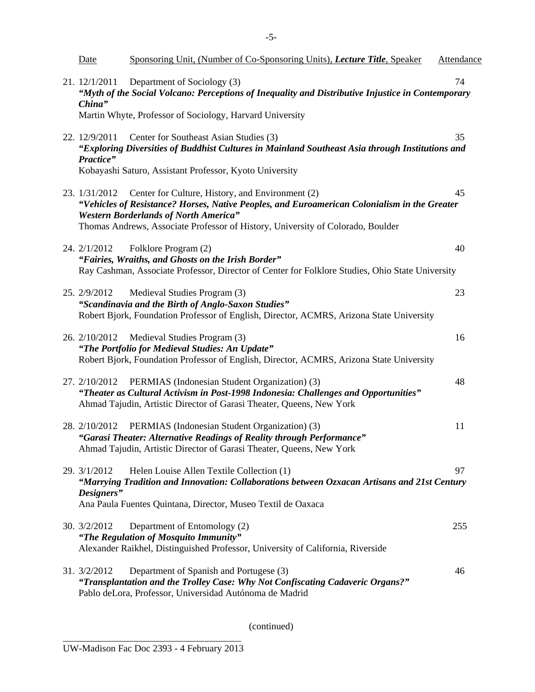| <u>Date</u>                  | Sponsoring Unit, (Number of Co-Sponsoring Units), <i>Lecture Title</i> , Speaker                                                                                                                                                                                                                  | <b>Attendance</b> |
|------------------------------|---------------------------------------------------------------------------------------------------------------------------------------------------------------------------------------------------------------------------------------------------------------------------------------------------|-------------------|
| 21. 12/1/2011<br>China"      | Department of Sociology (3)<br>"Myth of the Social Volcano: Perceptions of Inequality and Distributive Injustice in Contemporary<br>Martin Whyte, Professor of Sociology, Harvard University                                                                                                      | 74                |
| 22. 12/9/2011<br>Practice"   | Center for Southeast Asian Studies (3)<br>"Exploring Diversities of Buddhist Cultures in Mainland Southeast Asia through Institutions and<br>Kobayashi Saturo, Assistant Professor, Kyoto University                                                                                              | 35                |
|                              | 23. 1/31/2012 Center for Culture, History, and Environment (2)<br>"Vehicles of Resistance? Horses, Native Peoples, and Euroamerican Colonialism in the Greater<br><b>Western Borderlands of North America"</b><br>Thomas Andrews, Associate Professor of History, University of Colorado, Boulder | 45                |
| 24. 2/1/2012                 | Folklore Program (2)<br>"Fairies, Wraiths, and Ghosts on the Irish Border"<br>Ray Cashman, Associate Professor, Director of Center for Folklore Studies, Ohio State University                                                                                                                    | 40                |
| 25. 2/9/2012                 | Medieval Studies Program (3)<br>"Scandinavia and the Birth of Anglo-Saxon Studies"<br>Robert Bjork, Foundation Professor of English, Director, ACMRS, Arizona State University                                                                                                                    | 23                |
|                              | 26. 2/10/2012 Medieval Studies Program (3)<br>"The Portfolio for Medieval Studies: An Update"<br>Robert Bjork, Foundation Professor of English, Director, ACMRS, Arizona State University                                                                                                         | 16                |
|                              | 27. 2/10/2012 PERMIAS (Indonesian Student Organization) (3)<br>"Theater as Cultural Activism in Post-1998 Indonesia: Challenges and Opportunities"<br>Ahmad Tajudin, Artistic Director of Garasi Theater, Queens, New York                                                                        | 48                |
| 28. 2/10/2012                | PERMIAS (Indonesian Student Organization) (3)<br>"Garasi Theater: Alternative Readings of Reality through Performance"<br>Ahmad Tajudin, Artistic Director of Garasi Theater, Queens, New York                                                                                                    | 11                |
| 29. $3/1/2012$<br>Designers" | Helen Louise Allen Textile Collection (1)<br>"Marrying Tradition and Innovation: Collaborations between Ozxacan Artisans and 21st Century<br>Ana Paula Fuentes Quintana, Director, Museo Textil de Oaxaca                                                                                         | 97                |
| 30. 3/2/2012                 | Department of Entomology (2)<br>"The Regulation of Mosquito Immunity"<br>Alexander Raikhel, Distinguished Professor, University of California, Riverside                                                                                                                                          | 255               |
| 31. 3/2/2012                 | Department of Spanish and Portugese (3)<br>"Transplantation and the Trolley Case: Why Not Confiscating Cadaveric Organs?"<br>Pablo deLora, Professor, Universidad Autónoma de Madrid                                                                                                              | 46                |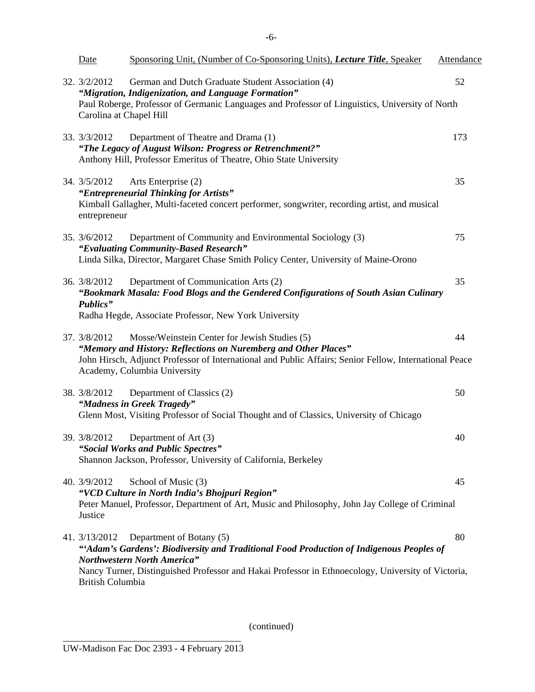| Date                                       | Sponsoring Unit, (Number of Co-Sponsoring Units), <i>Lecture Title</i> , Speaker                                                                                                                                                                                 | Attendance |
|--------------------------------------------|------------------------------------------------------------------------------------------------------------------------------------------------------------------------------------------------------------------------------------------------------------------|------------|
| 32. $3/2/2012$<br>Carolina at Chapel Hill  | German and Dutch Graduate Student Association (4)<br>"Migration, Indigenization, and Language Formation"<br>Paul Roberge, Professor of Germanic Languages and Professor of Linguistics, University of North                                                      | 52         |
| 33. 3/3/2012                               | Department of Theatre and Drama (1)<br>"The Legacy of August Wilson: Progress or Retrenchment?"<br>Anthony Hill, Professor Emeritus of Theatre, Ohio State University                                                                                            | 173        |
| 34. 3/5/2012<br>entrepreneur               | Arts Enterprise (2)<br>"Entrepreneurial Thinking for Artists"<br>Kimball Gallagher, Multi-faceted concert performer, songwriter, recording artist, and musical                                                                                                   | 35         |
| 35. 3/6/2012                               | Department of Community and Environmental Sociology (3)<br>"Evaluating Community-Based Research"<br>Linda Silka, Director, Margaret Chase Smith Policy Center, University of Maine-Orono                                                                         | 75         |
| 36. 3/8/2012<br>Publics"                   | Department of Communication Arts (2)<br>"Bookmark Masala: Food Blogs and the Gendered Configurations of South Asian Culinary<br>Radha Hegde, Associate Professor, New York University                                                                            | 35         |
| 37. 3/8/2012                               | Mosse/Weinstein Center for Jewish Studies (5)<br>"Memory and History: Reflections on Nuremberg and Other Places"<br>John Hirsch, Adjunct Professor of International and Public Affairs; Senior Fellow, International Peace<br>Academy, Columbia University       | 44         |
| 38. 3/8/2012                               | Department of Classics (2)<br>"Madness in Greek Tragedy"<br>Glenn Most, Visiting Professor of Social Thought and of Classics, University of Chicago                                                                                                              | 50         |
| 39. 3/8/2012                               | Department of Art (3)<br>"Social Works and Public Spectres"<br>Shannon Jackson, Professor, University of California, Berkeley                                                                                                                                    | 40         |
| 40. 3/9/2012<br>Justice                    | School of Music (3)<br>"VCD Culture in North India's Bhojpuri Region"<br>Peter Manuel, Professor, Department of Art, Music and Philosophy, John Jay College of Criminal                                                                                          | 45         |
| 41. $3/13/2012$<br><b>British Columbia</b> | Department of Botany (5)<br>"'Adam's Gardens': Biodiversity and Traditional Food Production of Indigenous Peoples of<br><b>Northwestern North America"</b><br>Nancy Turner, Distinguished Professor and Hakai Professor in Ethnoecology, University of Victoria, | 80         |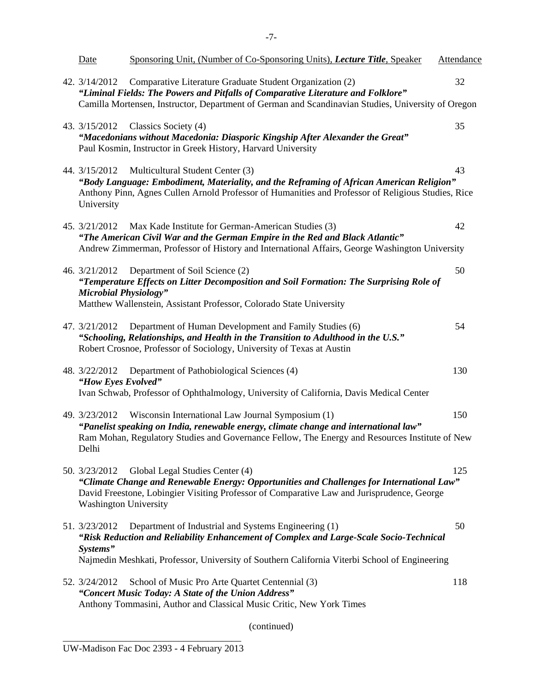| Date                                          | Sponsoring Unit, (Number of Co-Sponsoring Units), <i>Lecture Title</i> , Speaker                                                                                                                                                                   | Attendance |
|-----------------------------------------------|----------------------------------------------------------------------------------------------------------------------------------------------------------------------------------------------------------------------------------------------------|------------|
| 42. $3/14/2012$                               | Comparative Literature Graduate Student Organization (2)<br>"Liminal Fields: The Powers and Pitfalls of Comparative Literature and Folklore"<br>Camilla Mortensen, Instructor, Department of German and Scandinavian Studies, University of Oregon | 32         |
| 43. 3/15/2012                                 | Classics Society (4)<br>"Macedonians without Macedonia: Diasporic Kingship After Alexander the Great"<br>Paul Kosmin, Instructor in Greek History, Harvard University                                                                              | 35         |
| 44. 3/15/2012<br>University                   | Multicultural Student Center (3)<br>"Body Language: Embodiment, Materiality, and the Reframing of African American Religion"<br>Anthony Pinn, Agnes Cullen Arnold Professor of Humanities and Professor of Religious Studies, Rice                 | 43         |
| 45. $3/21/2012$                               | Max Kade Institute for German-American Studies (3)<br>"The American Civil War and the German Empire in the Red and Black Atlantic"<br>Andrew Zimmerman, Professor of History and International Affairs, George Washington University               | 42         |
| 46. 3/21/2012<br><b>Microbial Physiology"</b> | Department of Soil Science (2)<br>"Temperature Effects on Litter Decomposition and Soil Formation: The Surprising Role of<br>Matthew Wallenstein, Assistant Professor, Colorado State University                                                   | 50         |
| 47. 3/21/2012                                 | Department of Human Development and Family Studies (6)<br>"Schooling, Relationships, and Health in the Transition to Adulthood in the U.S."<br>Robert Crosnoe, Professor of Sociology, University of Texas at Austin                               | 54         |
| 48. 3/22/2012<br>"How Eyes Evolved"           | Department of Pathobiological Sciences (4)<br>Ivan Schwab, Professor of Ophthalmology, University of California, Davis Medical Center                                                                                                              | 130        |
| 49. 3/23/2012<br>Delhi                        | Wisconsin International Law Journal Symposium (1)<br>"Panelist speaking on India, renewable energy, climate change and international law"<br>Ram Mohan, Regulatory Studies and Governance Fellow, The Energy and Resources Institute of New        | 150        |
| 50. 3/23/2012<br><b>Washington University</b> | Global Legal Studies Center (4)<br>"Climate Change and Renewable Energy: Opportunities and Challenges for International Law"<br>David Freestone, Lobingier Visiting Professor of Comparative Law and Jurisprudence, George                         | 125        |
| 51. 3/23/2012<br>Systems"                     | Department of Industrial and Systems Engineering (1)<br>"Risk Reduction and Reliability Enhancement of Complex and Large-Scale Socio-Technical<br>Najmedin Meshkati, Professor, University of Southern California Viterbi School of Engineering    | 50         |
| 52. $3/24/2012$                               | School of Music Pro Arte Quartet Centennial (3)<br>"Concert Music Today: A State of the Union Address"<br>Anthony Tommasini, Author and Classical Music Critic, New York Times                                                                     | 118        |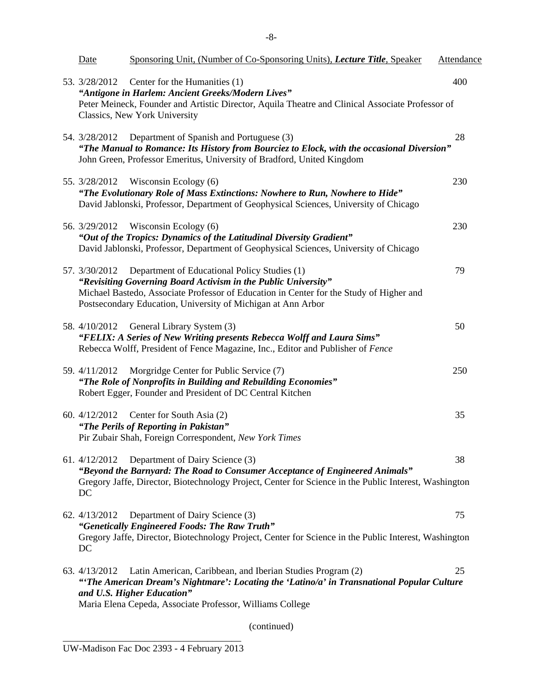| <u>Date</u>         | Sponsoring Unit, (Number of Co-Sponsoring Units), Lecture Title, Speaker                                                                                                                                                                                                  | Attendance |
|---------------------|---------------------------------------------------------------------------------------------------------------------------------------------------------------------------------------------------------------------------------------------------------------------------|------------|
| 53. 3/28/2012       | Center for the Humanities (1)<br>"Antigone in Harlem: Ancient Greeks/Modern Lives"<br>Peter Meineck, Founder and Artistic Director, Aquila Theatre and Clinical Associate Professor of<br>Classics, New York University                                                   | 400        |
| 54. 3/28/2012       | Department of Spanish and Portuguese (3)<br>"The Manual to Romance: Its History from Bourciez to Elock, with the occasional Diversion"<br>John Green, Professor Emeritus, University of Bradford, United Kingdom                                                          | 28         |
|                     | 55. 3/28/2012 Wisconsin Ecology (6)<br>"The Evolutionary Role of Mass Extinctions: Nowhere to Run, Nowhere to Hide"<br>David Jablonski, Professor, Department of Geophysical Sciences, University of Chicago                                                              | 230        |
| 56. 3/29/2012       | Wisconsin Ecology (6)<br>"Out of the Tropics: Dynamics of the Latitudinal Diversity Gradient"<br>David Jablonski, Professor, Department of Geophysical Sciences, University of Chicago                                                                                    | 230        |
| 57. 3/30/2012       | Department of Educational Policy Studies (1)<br>"Revisiting Governing Board Activism in the Public University"<br>Michael Bastedo, Associate Professor of Education in Center for the Study of Higher and<br>Postsecondary Education, University of Michigan at Ann Arbor | 79         |
|                     | 58. 4/10/2012 General Library System (3)<br>"FELIX: A Series of New Writing presents Rebecca Wolff and Laura Sims"<br>Rebecca Wolff, President of Fence Magazine, Inc., Editor and Publisher of Fence                                                                     | 50         |
| 59. $4/11/2012$     | Morgridge Center for Public Service (7)<br>"The Role of Nonprofits in Building and Rebuilding Economies"<br>Robert Egger, Founder and President of DC Central Kitchen                                                                                                     | 250        |
| 60. 4/12/2012       | Center for South Asia (2)<br>"The Perils of Reporting in Pakistan"<br>Pir Zubair Shah, Foreign Correspondent, New York Times                                                                                                                                              | 35         |
| 61. 4/12/2012<br>DC | Department of Dairy Science (3)<br>"Beyond the Barnyard: The Road to Consumer Acceptance of Engineered Animals"<br>Gregory Jaffe, Director, Biotechnology Project, Center for Science in the Public Interest, Washington                                                  | 38         |
| 62. 4/13/2012<br>DC | Department of Dairy Science (3)<br>"Genetically Engineered Foods: The Raw Truth"<br>Gregory Jaffe, Director, Biotechnology Project, Center for Science in the Public Interest, Washington                                                                                 | 75         |
| 63. 4/13/2012       | Latin American, Caribbean, and Iberian Studies Program (2)<br>"The American Dream's Nightmare': Locating the 'Latino/a' in Transnational Popular Culture<br>and U.S. Higher Education"<br>Maria Elena Cepeda, Associate Professor, Williams College                       | 25         |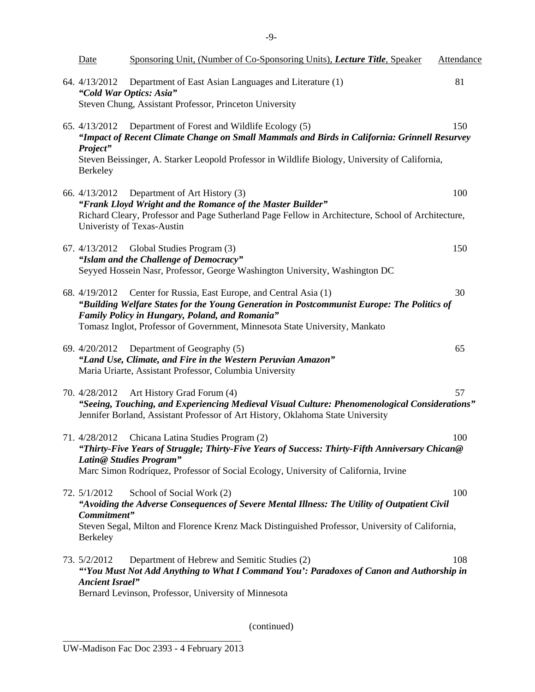| Date                                                                                                                      | Sponsoring Unit, (Number of Co-Sponsoring Units), Lecture Title, Speaker                                                                                                                                                                                                            | Attendance |
|---------------------------------------------------------------------------------------------------------------------------|-------------------------------------------------------------------------------------------------------------------------------------------------------------------------------------------------------------------------------------------------------------------------------------|------------|
| 64. 4/13/2012                                                                                                             | Department of East Asian Languages and Literature (1)<br>"Cold War Optics: Asia"                                                                                                                                                                                                    | 81         |
|                                                                                                                           | Steven Chung, Assistant Professor, Princeton University                                                                                                                                                                                                                             |            |
| 65. 4/13/2012                                                                                                             | Department of Forest and Wildlife Ecology (5)<br>"Impact of Recent Climate Change on Small Mammals and Birds in California: Grinnell Resurvey                                                                                                                                       | 150        |
| Project"<br>Berkeley                                                                                                      | Steven Beissinger, A. Starker Leopold Professor in Wildlife Biology, University of California,                                                                                                                                                                                      |            |
| 66. 4/13/2012                                                                                                             | Department of Art History (3)                                                                                                                                                                                                                                                       | 100        |
|                                                                                                                           | "Frank Lloyd Wright and the Romance of the Master Builder"<br>Richard Cleary, Professor and Page Sutherland Page Fellow in Architecture, School of Architecture,<br>Univeristy of Texas-Austin                                                                                      |            |
|                                                                                                                           | 67. $4/13/2012$ Global Studies Program (3)                                                                                                                                                                                                                                          | 150        |
|                                                                                                                           | "Islam and the Challenge of Democracy"<br>Seyyed Hossein Nasr, Professor, George Washington University, Washington DC                                                                                                                                                               |            |
| 68. 4/19/2012                                                                                                             | Center for Russia, East Europe, and Central Asia (1)<br>"Building Welfare States for the Young Generation in Postcommunist Europe: The Politics of<br>Family Policy in Hungary, Poland, and Romania"<br>Tomasz Inglot, Professor of Government, Minnesota State University, Mankato | 30         |
|                                                                                                                           | 69. 4/20/2012 Department of Geography (5)                                                                                                                                                                                                                                           | 65         |
|                                                                                                                           | "Land Use, Climate, and Fire in the Western Peruvian Amazon"<br>Maria Uriarte, Assistant Professor, Columbia University                                                                                                                                                             |            |
|                                                                                                                           | 70. 4/28/2012 Art History Grad Forum (4)                                                                                                                                                                                                                                            | 57         |
|                                                                                                                           | "Seeing, Touching, and Experiencing Medieval Visual Culture: Phenomenological Considerations"<br>Jennifer Borland, Assistant Professor of Art History, Oklahoma State University                                                                                                    |            |
| 71. 4/28/2012                                                                                                             | Chicana Latina Studies Program (2)                                                                                                                                                                                                                                                  | 100        |
| "Thirty-Five Years of Struggle; Thirty-Five Years of Success: Thirty-Fifth Anniversary Chican@<br>Latin@ Studies Program" |                                                                                                                                                                                                                                                                                     |            |
|                                                                                                                           | Marc Simon Rodríquez, Professor of Social Ecology, University of California, Irvine                                                                                                                                                                                                 |            |
| 72. $5/1/2012$                                                                                                            | School of Social Work (2)                                                                                                                                                                                                                                                           | 100        |
| "Avoiding the Adverse Consequences of Severe Mental Illness: The Utility of Outpatient Civil<br>Commitment"               |                                                                                                                                                                                                                                                                                     |            |
| <b>Berkeley</b>                                                                                                           | Steven Segal, Milton and Florence Krenz Mack Distinguished Professor, University of California,                                                                                                                                                                                     |            |
| 73. 5/2/2012<br><b>Ancient Israel</b> "                                                                                   | Department of Hebrew and Semitic Studies (2)<br>"You Must Not Add Anything to What I Command You": Paradoxes of Canon and Authorship in<br>Bernard Levinson, Professor, University of Minnesota                                                                                     | 108        |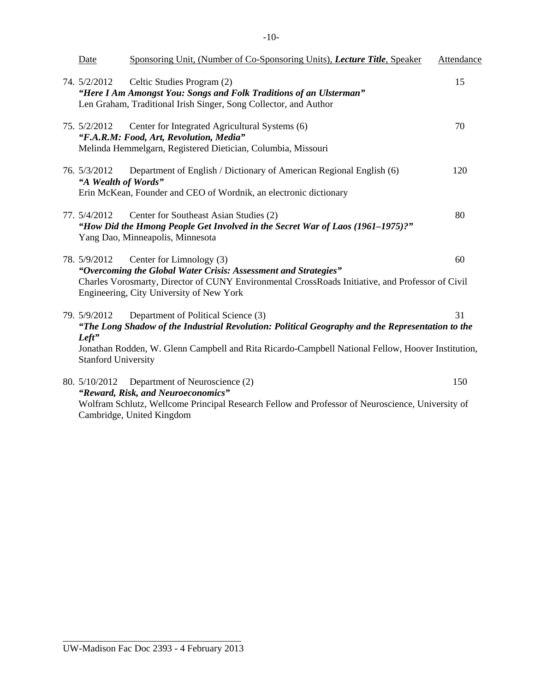$-10-$ 

| Date                                                   | Sponsoring Unit, (Number of Co-Sponsoring Units), <i>Lecture Title</i> , Speaker                                                                                                                                                             | Attendance |
|--------------------------------------------------------|----------------------------------------------------------------------------------------------------------------------------------------------------------------------------------------------------------------------------------------------|------------|
| 74. $5/2/2012$                                         | Celtic Studies Program (2)<br>"Here I Am Amongst You: Songs and Folk Traditions of an Ulsterman"<br>Len Graham, Traditional Irish Singer, Song Collector, and Author                                                                         | 15         |
| 75. 5/2/2012                                           | Center for Integrated Agricultural Systems (6)<br>"F.A.R.M: Food, Art, Revolution, Media"<br>Melinda Hemmelgarn, Registered Dietician, Columbia, Missouri                                                                                    | 70         |
| 76. 5/3/2012<br>"A Wealth of Words"                    | Department of English / Dictionary of American Regional English (6)<br>Erin McKean, Founder and CEO of Wordnik, an electronic dictionary                                                                                                     | 120        |
| 77. 5/4/2012                                           | Center for Southeast Asian Studies (2)<br>"How Did the Hmong People Get Involved in the Secret War of Laos (1961–1975)?"<br>Yang Dao, Minneapolis, Minnesota                                                                                 | 80         |
| 78. 5/9/2012                                           | Center for Limnology (3)<br>"Overcoming the Global Water Crisis: Assessment and Strategies"<br>Charles Vorosmarty, Director of CUNY Environmental CrossRoads Initiative, and Professor of Civil<br>Engineering, City University of New York  | 60         |
| 79. 5/9/2012<br>$Left$ "<br><b>Stanford University</b> | Department of Political Science (3)<br>"The Long Shadow of the Industrial Revolution: Political Geography and the Representation to the<br>Jonathan Rodden, W. Glenn Campbell and Rita Ricardo-Campbell National Fellow, Hoover Institution, | 31         |
|                                                        | 80. 5/10/2012 Department of Neuroscience (2)<br>"Reward, Risk, and Neuroeconomics"<br>Wolfram Schlutz, Wellcome Principal Research Fellow and Professor of Neuroscience, University of                                                       | 150        |

Cambridge, United Kingdom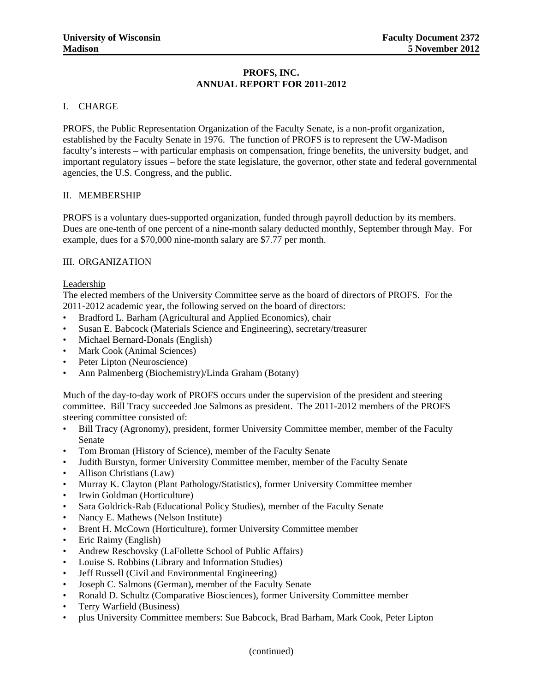#### **PROFS, INC. ANNUAL REPORT FOR 2011-2012**

#### I. CHARGE

PROFS, the Public Representation Organization of the Faculty Senate, is a non-profit organization, established by the Faculty Senate in 1976. The function of PROFS is to represent the UW-Madison faculty's interests – with particular emphasis on compensation, fringe benefits, the university budget, and important regulatory issues – before the state legislature, the governor, other state and federal governmental agencies, the U.S. Congress, and the public.

#### II. MEMBERSHIP

PROFS is a voluntary dues-supported organization, funded through payroll deduction by its members. Dues are one-tenth of one percent of a nine-month salary deducted monthly, September through May. For example, dues for a \$70,000 nine-month salary are \$7.77 per month.

#### III. ORGANIZATION

#### Leadership

The elected members of the University Committee serve as the board of directors of PROFS. For the 2011-2012 academic year, the following served on the board of directors:

- Bradford L. Barham (Agricultural and Applied Economics), chair
- Susan E. Babcock (Materials Science and Engineering), secretary/treasurer
- Michael Bernard-Donals (English)
- Mark Cook (Animal Sciences)
- Peter Lipton (Neuroscience)
- Ann Palmenberg (Biochemistry)/Linda Graham (Botany)

Much of the day-to-day work of PROFS occurs under the supervision of the president and steering committee. Bill Tracy succeeded Joe Salmons as president. The 2011-2012 members of the PROFS steering committee consisted of:

- Bill Tracy (Agronomy), president, former University Committee member, member of the Faculty Senate
- Tom Broman (History of Science), member of the Faculty Senate
- Judith Burstyn, former University Committee member, member of the Faculty Senate
- Allison Christians (Law)
- Murray K. Clayton (Plant Pathology/Statistics), former University Committee member
- Irwin Goldman (Horticulture)
- Sara Goldrick-Rab (Educational Policy Studies), member of the Faculty Senate
- Nancy E. Mathews (Nelson Institute)
- • Brent H. McCown (Horticulture), former University Committee member
- Eric Raimy (English)
- Andrew Reschovsky (LaFollette School of Public Affairs)
- Louise S. Robbins (Library and Information Studies)
- **Jeff Russell (Civil and Environmental Engineering)**
- Joseph C. Salmons (German), member of the Faculty Senate
- Ronald D. Schultz (Comparative Biosciences), former University Committee member
- Terry Warfield (Business)
- plus University Committee members: Sue Babcock, Brad Barham, Mark Cook, Peter Lipton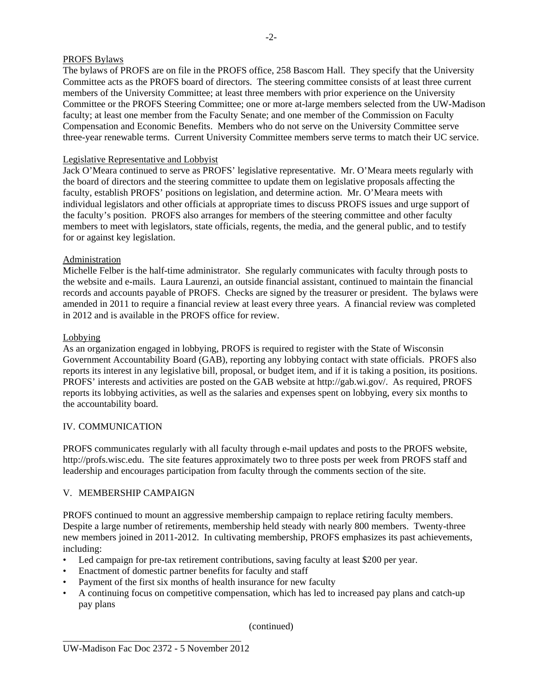#### PROFS Bylaws

The bylaws of PROFS are on file in the PROFS office, 258 Bascom Hall. They specify that the University Committee acts as the PROFS board of directors. The steering committee consists of at least three current members of the University Committee; at least three members with prior experience on the University Committee or the PROFS Steering Committee; one or more at-large members selected from the UW-Madison faculty; at least one member from the Faculty Senate; and one member of the Commission on Faculty Compensation and Economic Benefits. Members who do not serve on the University Committee serve three-year renewable terms. Current University Committee members serve terms to match their UC service.

#### Legislative Representative and Lobbyist

Jack O'Meara continued to serve as PROFS' legislative representative. Mr. O'Meara meets regularly with the board of directors and the steering committee to update them on legislative proposals affecting the faculty, establish PROFS' positions on legislation, and determine action. Mr. O'Meara meets with individual legislators and other officials at appropriate times to discuss PROFS issues and urge support of the faculty's position. PROFS also arranges for members of the steering committee and other faculty members to meet with legislators, state officials, regents, the media, and the general public, and to testify for or against key legislation.

#### Administration

Michelle Felber is the half-time administrator. She regularly communicates with faculty through posts to the website and e-mails. Laura Laurenzi, an outside financial assistant, continued to maintain the financial records and accounts payable of PROFS. Checks are signed by the treasurer or president. The bylaws were amended in 2011 to require a financial review at least every three years. A financial review was completed in 2012 and is available in the PROFS office for review.

#### Lobbying

As an organization engaged in lobbying, PROFS is required to register with the State of Wisconsin Government Accountability Board (GAB), reporting any lobbying contact with state officials. PROFS also reports its interest in any legislative bill, proposal, or budget item, and if it is taking a position, its positions. PROFS' interests and activities are posted on the GAB website at http://gab.wi.gov/. As required, PROFS reports its lobbying activities, as well as the salaries and expenses spent on lobbying, every six months to the accountability board.

#### IV. COMMUNICATION

PROFS communicates regularly with all faculty through e-mail updates and posts to the PROFS website, http://profs.wisc.edu. The site features approximately two to three posts per week from PROFS staff and leadership and encourages participation from faculty through the comments section of the site.

#### V. MEMBERSHIP CAMPAIGN

PROFS continued to mount an aggressive membership campaign to replace retiring faculty members. Despite a large number of retirements, membership held steady with nearly 800 members. Twenty-three new members joined in 2011-2012. In cultivating membership, PROFS emphasizes its past achievements, including:

- Led campaign for pre-tax retirement contributions, saving faculty at least \$200 per year.
- Enactment of domestic partner benefits for faculty and staff
- Payment of the first six months of health insurance for new faculty
- A continuing focus on competitive compensation, which has led to increased pay plans and catch-up pay plans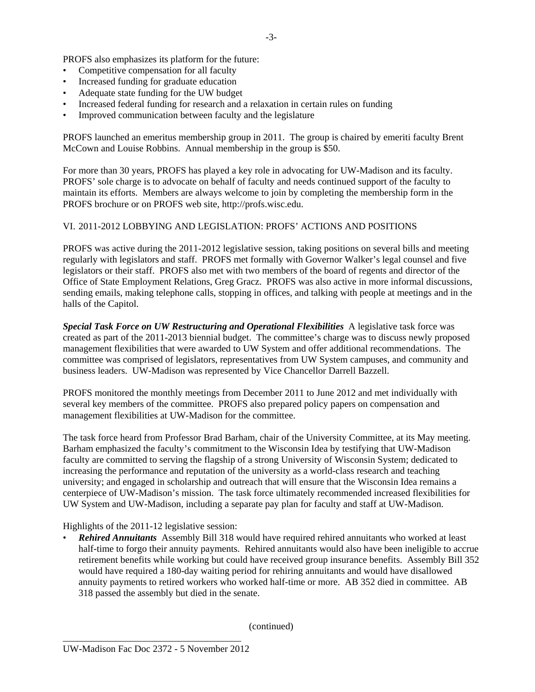PROFS also emphasizes its platform for the future:

- Competitive compensation for all faculty
- Increased funding for graduate education
- Adequate state funding for the UW budget
- Increased federal funding for research and a relaxation in certain rules on funding
- Improved communication between faculty and the legislature

PROFS launched an emeritus membership group in 2011. The group is chaired by emeriti faculty Brent McCown and Louise Robbins. Annual membership in the group is \$50.

For more than 30 years, PROFS has played a key role in advocating for UW-Madison and its faculty. PROFS' sole charge is to advocate on behalf of faculty and needs continued support of the faculty to maintain its efforts. Members are always welcome to join by completing the membership form in the PROFS brochure or on PROFS web site, http://profs.wisc.edu.

### VI. 2011-2012 LOBBYING AND LEGISLATION: PROFS' ACTIONS AND POSITIONS

PROFS was active during the 2011-2012 legislative session, taking positions on several bills and meeting regularly with legislators and staff. PROFS met formally with Governor Walker's legal counsel and five legislators or their staff. PROFS also met with two members of the board of regents and director of the Office of State Employment Relations, Greg Gracz. PROFS was also active in more informal discussions, sending emails, making telephone calls, stopping in offices, and talking with people at meetings and in the halls of the Capitol.

*Special Task Force on UW Restructuring and Operational Flexibilities* A legislative task force was created as part of the 2011-2013 biennial budget. The committee's charge was to discuss newly proposed management flexibilities that were awarded to UW System and offer additional recommendations. The committee was comprised of legislators, representatives from UW System campuses, and community and business leaders. UW-Madison was represented by Vice Chancellor Darrell Bazzell.

PROFS monitored the monthly meetings from December 2011 to June 2012 and met individually with several key members of the committee. PROFS also prepared policy papers on compensation and management flexibilities at UW-Madison for the committee.

The task force heard from Professor Brad Barham, chair of the University Committee, at its May meeting. Barham emphasized the faculty's commitment to the Wisconsin Idea by testifying that UW-Madison faculty are committed to serving the flagship of a strong University of Wisconsin System; dedicated to increasing the performance and reputation of the university as a world-class research and teaching university; and engaged in scholarship and outreach that will ensure that the Wisconsin Idea remains a centerpiece of UW-Madison's mission. The task force ultimately recommended increased flexibilities for UW System and UW-Madison, including a separate pay plan for faculty and staff at UW-Madison.

Highlights of the 2011-12 legislative session:

**Rehired Annuitants** Assembly Bill 318 would have required rehired annuitants who worked at least half-time to forgo their annuity payments. Rehired annuitants would also have been ineligible to accrue retirement benefits while working but could have received group insurance benefits. Assembly Bill 352 would have required a 180-day waiting period for rehiring annuitants and would have disallowed annuity payments to retired workers who worked half-time or more. AB 352 died in committee. AB 318 passed the assembly but died in the senate.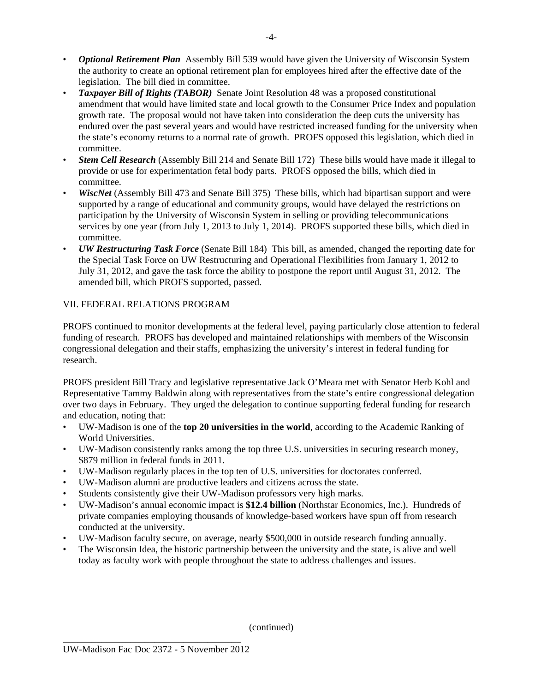- *Optional Retirement Plan* Assembly Bill 539 would have given the University of Wisconsin System the authority to create an optional retirement plan for employees hired after the effective date of the legislation. The bill died in committee.
- • *Taxpayer Bill of Rights (TABOR)* Senate Joint Resolution 48 was a proposed constitutional amendment that would have limited state and local growth to the Consumer Price Index and population growth rate. The proposal would not have taken into consideration the deep cuts the university has endured over the past several years and would have restricted increased funding for the university when the state's economy returns to a normal rate of growth. PROFS opposed this legislation, which died in committee.
- **Stem Cell Research** (Assembly Bill 214 and Senate Bill 172) These bills would have made it illegal to provide or use for experimentation fetal body parts. PROFS opposed the bills, which died in committee.
- *WiscNet* (Assembly Bill 473 and Senate Bill 375) These bills, which had bipartisan support and were supported by a range of educational and community groups, would have delayed the restrictions on participation by the University of Wisconsin System in selling or providing telecommunications services by one year (from July 1, 2013 to July 1, 2014). PROFS supported these bills, which died in committee.
- *UW Restructuring Task Force* (Senate Bill 184) This bill, as amended, changed the reporting date for the Special Task Force on UW Restructuring and Operational Flexibilities from January 1, 2012 to July 31, 2012, and gave the task force the ability to postpone the report until August 31, 2012. The amended bill, which PROFS supported, passed.

#### VII. FEDERAL RELATIONS PROGRAM

PROFS continued to monitor developments at the federal level, paying particularly close attention to federal funding of research. PROFS has developed and maintained relationships with members of the Wisconsin congressional delegation and their staffs, emphasizing the university's interest in federal funding for research.

PROFS president Bill Tracy and legislative representative Jack O'Meara met with Senator Herb Kohl and Representative Tammy Baldwin along with representatives from the state's entire congressional delegation over two days in February. They urged the delegation to continue supporting federal funding for research and education, noting that:

- • UW-Madison is one of the **top 20 universities in the world**, according to the Academic Ranking of World Universities.
- • UW-Madison consistently ranks among the top three U.S. universities in securing research money, \$879 million in federal funds in 2011.
- UW-Madison regularly places in the top ten of U.S. universities for doctorates conferred.
- UW-Madison alumni are productive leaders and citizens across the state.
- Students consistently give their UW-Madison professors very high marks.
- UW-Madison's annual economic impact is \$12.4 billion (Northstar Economics, Inc.). Hundreds of private companies employing thousands of knowledge-based workers have spun off from research conducted at the university.
- UW-Madison faculty secure, on average, nearly \$500,000 in outside research funding annually.
- The Wisconsin Idea, the historic partnership between the university and the state, is alive and well today as faculty work with people throughout the state to address challenges and issues.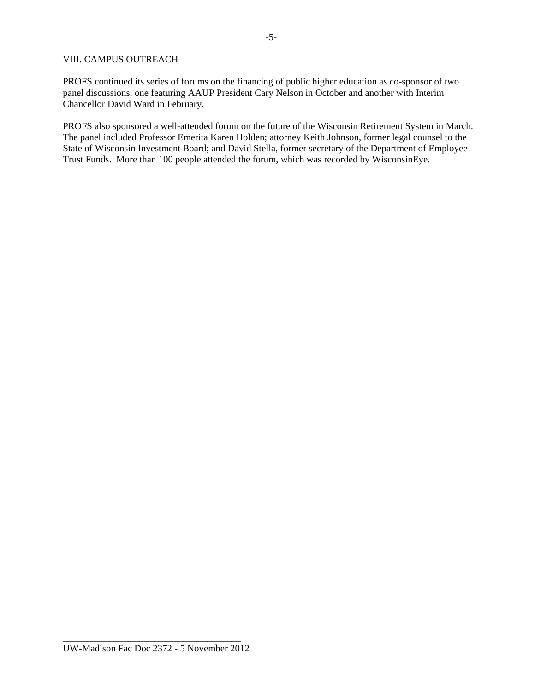#### VIII. CAMPUS OUTREACH

PROFS continued its series of forums on the financing of public higher education as co-sponsor of two panel discussions, one featuring AAUP President Cary Nelson in October and another with Interim Chancellor David Ward in February.

PROFS also sponsored a well-attended forum on the future of the Wisconsin Retirement System in March. The panel included Professor Emerita Karen Holden; attorney Keith Johnson, former legal counsel to the State of Wisconsin Investment Board; and David Stella, former secretary of the Department of Employee Trust Funds. More than 100 people attended the forum, which was recorded by WisconsinEye.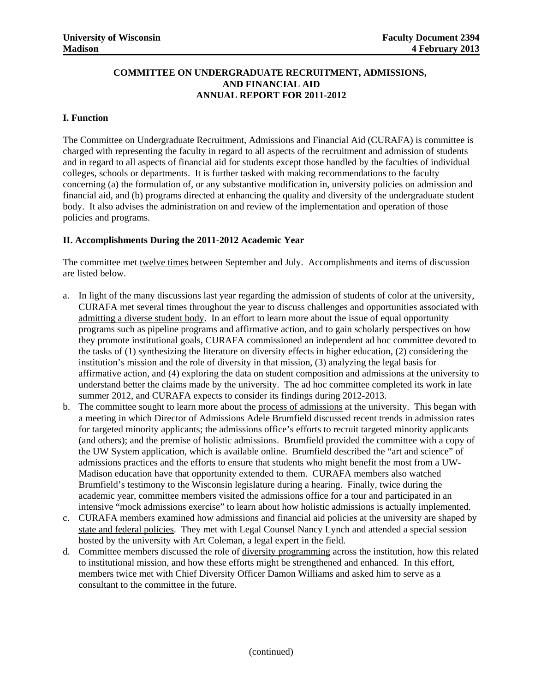#### **COMMITTEE ON UNDERGRADUATE RECRUITMENT, ADMISSIONS, AND FINANCIAL AID ANNUAL REPORT FOR 2011-2012**

#### **I. Function**

The Committee on Undergraduate Recruitment, Admissions and Financial Aid (CURAFA) is committee is charged with representing the faculty in regard to all aspects of the recruitment and admission of students and in regard to all aspects of financial aid for students except those handled by the faculties of individual colleges, schools or departments. It is further tasked with making recommendations to the faculty concerning (a) the formulation of, or any substantive modification in, university policies on admission and financial aid, and (b) programs directed at enhancing the quality and diversity of the undergraduate student body. It also advises the administration on and review of the implementation and operation of those policies and programs.

#### **II. Accomplishments During the 2011-2012 Academic Year**

The committee met twelve times between September and July. Accomplishments and items of discussion are listed below.

- a. In light of the many discussions last year regarding the admission of students of color at the university, CURAFA met several times throughout the year to discuss challenges and opportunities associated with admitting a diverse student body. In an effort to learn more about the issue of equal opportunity programs such as pipeline programs and affirmative action, and to gain scholarly perspectives on how they promote institutional goals, CURAFA commissioned an independent ad hoc committee devoted to the tasks of (1) synthesizing the literature on diversity effects in higher education, (2) considering the institution's mission and the role of diversity in that mission, (3) analyzing the legal basis for affirmative action, and (4) exploring the data on student composition and admissions at the university to understand better the claims made by the university. The ad hoc committee completed its work in late summer 2012, and CURAFA expects to consider its findings during 2012-2013.
- b. The committee sought to learn more about the process of admissions at the university. This began with a meeting in which Director of Admissions Adele Brumfield discussed recent trends in admission rates for targeted minority applicants; the admissions office's efforts to recruit targeted minority applicants (and others); and the premise of holistic admissions. Brumfield provided the committee with a copy of the UW System application, which is available online. Brumfield described the "art and science" of admissions practices and the efforts to ensure that students who might benefit the most from a UW-Madison education have that opportunity extended to them. CURAFA members also watched Brumfield's testimony to the Wisconsin legislature during a hearing. Finally, twice during the academic year, committee members visited the admissions office for a tour and participated in an intensive "mock admissions exercise" to learn about how holistic admissions is actually implemented.
- c. CURAFA members examined how admissions and financial aid policies at the university are shaped by state and federal policies. They met with Legal Counsel Nancy Lynch and attended a special session hosted by the university with Art Coleman, a legal expert in the field.
- d. Committee members discussed the role of diversity programming across the institution, how this related to institutional mission, and how these efforts might be strengthened and enhanced. In this effort, members twice met with Chief Diversity Officer Damon Williams and asked him to serve as a consultant to the committee in the future.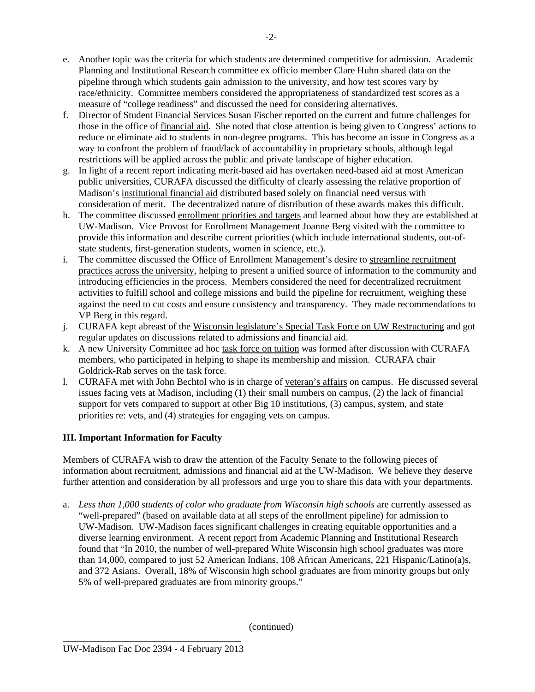e. Another topic was the criteria for which students are determined competitive for admission. Academic Planning and Institutional Research committee ex officio member Clare Huhn shared data on the pipeline through which students gain admission to the university, and how test scores vary by race/ethnicity. Committee members considered the appropriateness of standardized test scores as a measure of "college readiness" and discussed the need for considering alternatives.

 $-2-$ 

- f. Director of Student Financial Services Susan Fischer reported on the current and future challenges for those in the office of financial aid. She noted that close attention is being given to Congress' actions to reduce or eliminate aid to students in non-degree programs. This has become an issue in Congress as a way to confront the problem of fraud/lack of accountability in proprietary schools, although legal restrictions will be applied across the public and private landscape of higher education.
- g. In light of a recent report indicating merit-based aid has overtaken need-based aid at most American public universities, CURAFA discussed the difficulty of clearly assessing the relative proportion of Madison's institutional financial aid distributed based solely on financial need versus with consideration of merit. The decentralized nature of distribution of these awards makes this difficult.
- h. The committee discussed enrollment priorities and targets and learned about how they are established at UW-Madison. Vice Provost for Enrollment Management Joanne Berg visited with the committee to provide this information and describe current priorities (which include international students, out-ofstate students, first-generation students, women in science, etc.).
- i. The committee discussed the Office of Enrollment Management's desire to streamline recruitment practices across the university, helping to present a unified source of information to the community and introducing efficiencies in the process. Members considered the need for decentralized recruitment activities to fulfill school and college missions and build the pipeline for recruitment, weighing these against the need to cut costs and ensure consistency and transparency. They made recommendations to VP Berg in this regard.
- j. CURAFA kept abreast of the Wisconsin legislature's Special Task Force on UW Restructuring and got regular updates on discussions related to admissions and financial aid.
- k. A new University Committee ad hoc task force on tuition was formed after discussion with CURAFA members, who participated in helping to shape its membership and mission. CURAFA chair Goldrick-Rab serves on the task force.
- 1. CURAFA met with John Bechtol who is in charge of veteran's affairs on campus. He discussed several issues facing vets at Madison, including (1) their small numbers on campus, (2) the lack of financial support for vets compared to support at other Big 10 institutions, (3) campus, system, and state priorities re: vets, and (4) strategies for engaging vets on campus.

## **III. Important Information for Faculty**

Members of CURAFA wish to draw the attention of the Faculty Senate to the following pieces of information about recruitment, admissions and financial aid at the UW-Madison. We believe they deserve further attention and consideration by all professors and urge you to share this data with your departments.

a. Less than 1,000 students of color who graduate from Wisconsin high schools are currently assessed as "well-prepared" (based on available data at all steps of the enrollment pipeline) for admission to UW-Madison. UW-Madison faces significant challenges in creating equitable opportunities and a diverse learning environment. A recent report from Academic Planning and Institutional Research found that "In 2010, the number of well-prepared White Wisconsin high school graduates was more than 14,000, compared to just 52 American Indians, 108 African Americans, 221 Hispanic/Latino(a)s, and 372 Asians. Overall, 18% of Wisconsin high school graduates are from minority groups but only 5% of well-prepared graduates are from minority groups."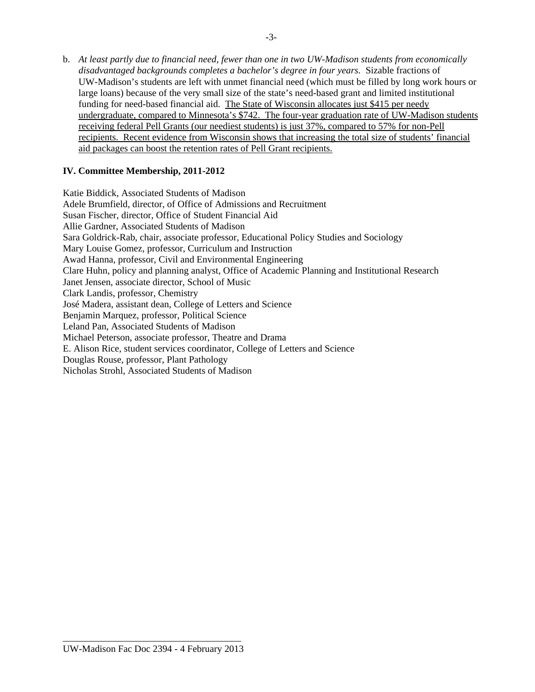b. *At least partly due to financial need, fewer than one in two UW-Madison students from economically disadvantaged backgrounds completes a bachelor's degree in four years.* Sizable fractions of UW-Madison's students are left with unmet financial need (which must be filled by long work hours or large loans) because of the very small size of the state's need-based grant and limited institutional funding for need-based financial aid. The State of Wisconsin allocates just \$415 per needy undergraduate, compared to Minnesota's \$742. The four-year graduation rate of UW-Madison students receiving federal Pell Grants (our neediest students) is just 37%, compared to 57% for non-Pell recipients. Recent evidence from Wisconsin shows that increasing the total size of students' financial aid packages can boost the retention rates of Pell Grant recipients.

#### **IV. Committee Membership, 2011-2012**

Katie Biddick, Associated Students of Madison Adele Brumfield, director, of Office of Admissions and Recruitment Susan Fischer, director, Office of Student Financial Aid Allie Gardner, Associated Students of Madison Sara Goldrick-Rab, chair, associate professor, Educational Policy Studies and Sociology Mary Louise Gomez, professor, Curriculum and Instruction Awad Hanna, professor, Civil and Environmental Engineering Clare Huhn, policy and planning analyst, Office of Academic Planning and Institutional Research Janet Jensen, associate director, School of Music Clark Landis, professor, Chemistry José Madera, assistant dean, College of Letters and Science Benjamin Marquez, professor, Political Science Leland Pan, Associated Students of Madison Michael Peterson, associate professor, Theatre and Drama E. Alison Rice, student services coordinator, College of Letters and Science Douglas Rouse, professor, Plant Pathology Nicholas Strohl, Associated Students of Madison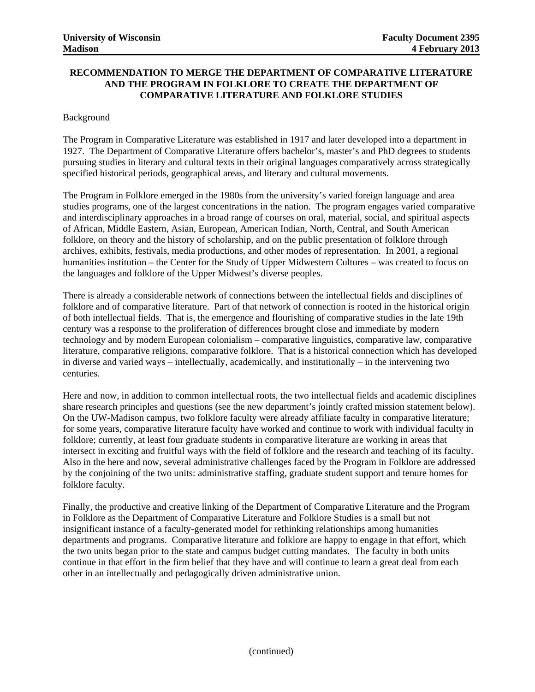#### **RECOMMENDATION TO MERGE THE DEPARTMENT OF COMPARATIVE LITERATURE AND THE PROGRAM IN FOLKLORE TO CREATE THE DEPARTMENT OF COMPARATIVE LITERATURE AND FOLKLORE STUDIES**

#### Background

The Program in Comparative Literature was established in 1917 and later developed into a department in 1927. The Department of Comparative Literature offers bachelor's, master's and PhD degrees to students pursuing studies in literary and cultural texts in their original languages comparatively across strategically specified historical periods, geographical areas, and literary and cultural movements.

The Program in Folklore emerged in the 1980s from the university's varied foreign language and area studies programs, one of the largest concentrations in the nation. The program engages varied comparative and interdisciplinary approaches in a broad range of courses on oral, material, social, and spiritual aspects of African, Middle Eastern, Asian, European, American Indian, North, Central, and South American folklore, on theory and the history of scholarship, and on the public presentation of folklore through archives, exhibits, festivals, media productions, and other modes of representation. In 2001, a regional humanities institution – the Center for the Study of Upper Midwestern Cultures – was created to focus on the languages and folklore of the Upper Midwest's diverse peoples.

There is already a considerable network of connections between the intellectual fields and disciplines of folklore and of comparative literature. Part of that network of connection is rooted in the historical origin of both intellectual fields. That is, the emergence and flourishing of comparative studies in the late 19th century was a response to the proliferation of differences brought close and immediate by modern technology and by modern European colonialism – comparative linguistics, comparative law, comparative literature, comparative religions, comparative folklore. That is a historical connection which has developed in diverse and varied ways – intellectually, academically, and institutionally – in the intervening two centuries.

Here and now, in addition to common intellectual roots, the two intellectual fields and academic disciplines share research principles and questions (see the new department's jointly crafted mission statement below). On the UW-Madison campus, two folklore faculty were already affiliate faculty in comparative literature; for some years, comparative literature faculty have worked and continue to work with individual faculty in folklore; currently, at least four graduate students in comparative literature are working in areas that intersect in exciting and fruitful ways with the field of folklore and the research and teaching of its faculty. Also in the here and now, several administrative challenges faced by the Program in Folklore are addressed by the conjoining of the two units: administrative staffing, graduate student support and tenure homes for folklore faculty.

Finally, the productive and creative linking of the Department of Comparative Literature and the Program in Folklore as the Department of Comparative Literature and Folklore Studies is a small but not insignificant instance of a faculty-generated model for rethinking relationships among humanities departments and programs. Comparative literature and folklore are happy to engage in that effort, which the two units began prior to the state and campus budget cutting mandates. The faculty in both units continue in that effort in the firm belief that they have and will continue to learn a great deal from each other in an intellectually and pedagogically driven administrative union.